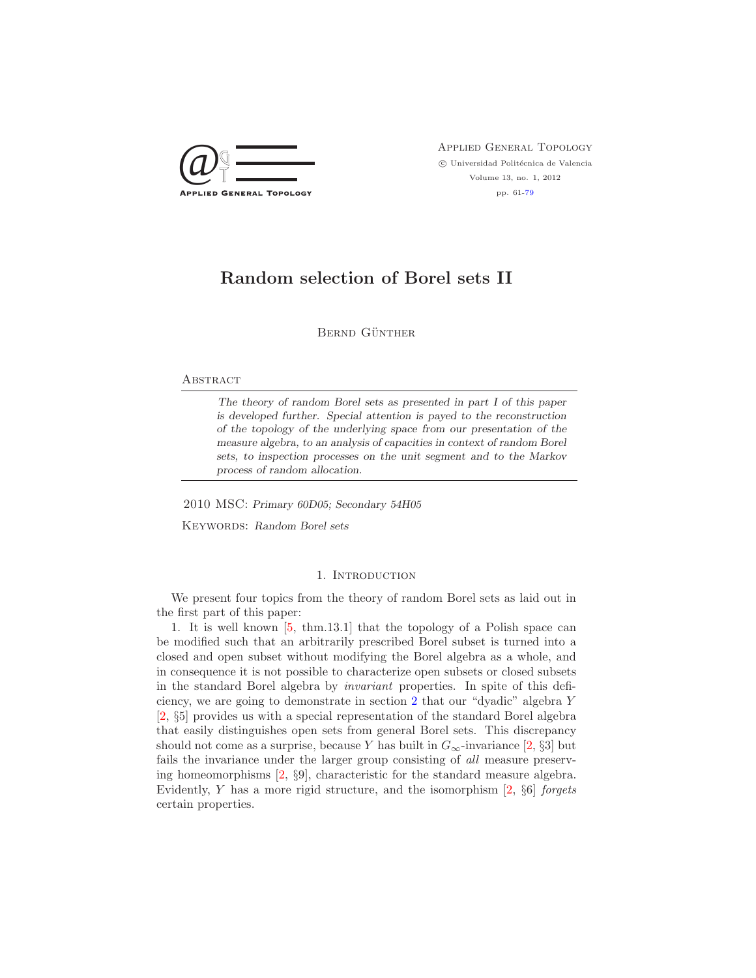

 $\bigcircled{Q} \bigcircled{} \overbrace{\top}$  APPLIED GENERAL TOPOLOGY  $\circled{}$  Universidad Politécnica de Valencia  $\odot$ Universidad Politécnica de Valencia Volume 13, no. 1, 2012 pp. 61[-79](#page-18-0)

# **Random selection of Borel sets II**

BERND GÜNTHER

# **ABSTRACT**

*The theory of random Borel sets as presented in part I of this paper is developed further. Special attention is payed to the reconstruction of the topology of the underlying space from our presentation of the measure algebra, to an analysis of capacities in context of random Borel sets, to inspection processes on the unit segment and to the Markov process of random allocation.*

2010 MSC: *Primary 60D05; Secondary 54H05*

Keywords: *Random Borel sets*

# 1. INTRODUCTION

We present four topics from the theory of random Borel sets as laid out in the first part of this paper:

1. It is well known [\[5,](#page-18-1) thm.13.1] that the topology of a Polish space can be modified such that an arbitrarily prescribed Borel subset is turned into a closed and open subset without modifying the Borel algebra as a whole, and in consequence it is not possible to characterize open subsets or closed subsets in the standard Borel algebra by *invariant* properties. In spite of this deficiency, we are going to demonstrate in section [2](#page-1-0) that our "dyadic" algebra Y [\[2,](#page-18-2) §5] provides us with a special representation of the standard Borel algebra that easily distinguishes open sets from general Borel sets. This discrepancy should not come as a surprise, because Y has built in  $G_{\infty}$ -invariance [\[2,](#page-18-2) §3] but fails the invariance under the larger group consisting of *all* measure preserving homeomorphisms [\[2,](#page-18-2) §9], characteristic for the standard measure algebra. Evidently, Y has a more rigid structure, and the isomorphism [\[2,](#page-18-2) §6] *forgets* certain properties.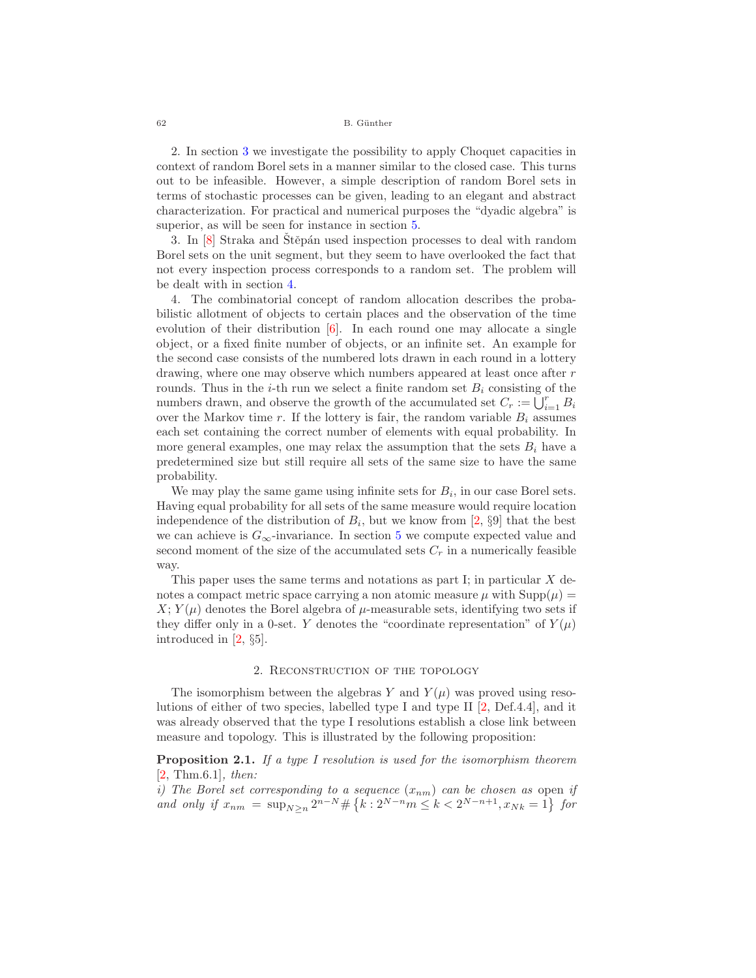62 B. Günther

2. In section [3](#page-3-0) we investigate the possibility to apply Choquet capacities in context of random Borel sets in a manner similar to the closed case. This turns out to be infeasible. However, a simple description of random Borel sets in terms of stochastic processes can be given, leading to an elegant and abstract characterization. For practical and numerical purposes the "dyadic algebra" is superior, as will be seen for instance in section [5.](#page-11-0)

3. In [\[8\]](#page-18-3) Straka and Stěpán used inspection processes to deal with random Borel sets on the unit segment, but they seem to have overlooked the fact that not every inspection process corresponds to a random set. The problem will be dealt with in section [4.](#page-8-0)

4. The combinatorial concept of random allocation describes the probabilistic allotment of objects to certain places and the observation of the time evolution of their distribution  $[6]$ . In each round one may allocate a single object, or a fixed finite number of objects, or an infinite set. An example for the second case consists of the numbered lots drawn in each round in a lottery drawing, where one may observe which numbers appeared at least once after r rounds. Thus in the *i*-th run we select a finite random set  $B_i$  consisting of the numbers drawn, and observe the growth of the accumulated set  $C_r := \bigcup_{i=1}^r B_i$ <br>over the Markov time r. If the lottery is fair, the random variable B, assumes over the Markov time r. If the lottery is fair, the random variable  $B_i$  assumes each set containing the correct number of elements with equal probability. In more general examples, one may relax the assumption that the sets  $B_i$  have a predetermined size but still require all sets of the same size to have the same probability.

We may play the same game using infinite sets for  $B_i$ , in our case Borel sets. Having equal probability for all sets of the same measure would require location independence of the distribution of  $B_i$ , but we know from [\[2,](#page-18-2) §9] that the best we can achieve is  $G_{\infty}$ -invariance. In section [5](#page-11-0) we compute expected value and second moment of the size of the accumulated sets  $C_r$  in a numerically feasible way.

This paper uses the same terms and notations as part I; in particular  $X$  denotes a compact metric space carrying a non atomic measure  $\mu$  with  $\text{Supp}(\mu) =$  $X: Y(\mu)$  denotes the Borel algebra of  $\mu$ -measurable sets, identifying two sets if they differ only in a 0-set. Y denotes the "coordinate representation" of  $Y(\mu)$ introduced in [\[2,](#page-18-2) §5].

## 2. Reconstruction of the topology

<span id="page-1-0"></span>The isomorphism between the algebras Y and  $Y(\mu)$  was proved using resolutions of either of two species, labelled type I and type II [\[2,](#page-18-2) Def.4.4], and it was already observed that the type I resolutions establish a close link between measure and topology. This is illustrated by the following proposition:

**Proposition 2.1.** *If a type I resolution is used for the isomorphism theorem* [\[2,](#page-18-2) Thm.6.1]*, then:*

*i)* The Borel set corresponding to a sequence  $(x_{nm})$  can be chosen as open *if*  $\sum_{m=1}^{\infty} a_m x_{m} = \sum_{m=1}^{\infty} a_m x_{m} = \sum_{m=1}^{\infty} a_m x_{m} = \sum_{m=1}^{\infty} a_m x_{m}$ *and only if*  $x_{nm} = \sup_{N \geq n} 2^{n-N} \# \{ k : 2^{N-n} m \leq k < 2^{N-n+1}, x_{Nk} = 1 \}$  for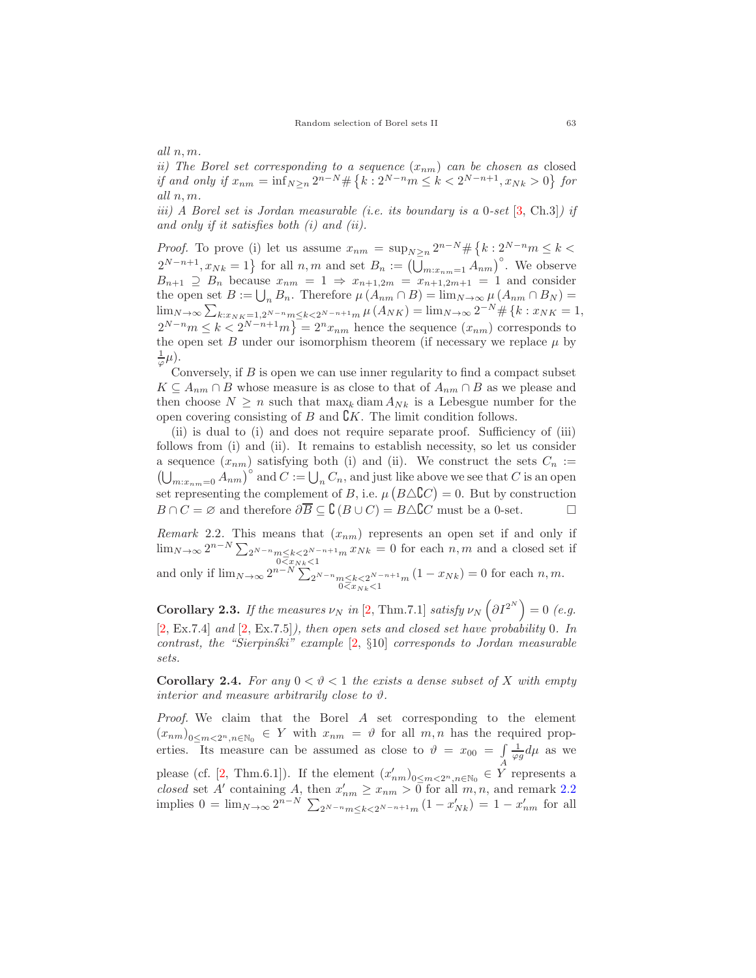*all* n, m*.*

*ii)* The Borel set corresponding to a sequence  $(x_{nm})$  can be chosen as closed<br>if and only if  $x_{nm} = \frac{m-N}{L}$  if  $h \cdot 2^{N-n}$  is  $k \le 2^{N-n+1}$   $x \to 0$  for *if and only if*  $x_{nm} = \inf_{N \geq n} 2^{n-N} \# \{k : 2^{N-n}m \leq k < 2^{N-n+1}, x_{Nk} > 0\}$  for *all* n, m*.*

*iii) A Borel set is Jordan measurable (i.e. its boundary is a* 0*-set* [\[3,](#page-18-5) Ch.3]*) if and only if it satisfies both (i) and (ii).*

*Proof.* To prove (i) let us assume  $x_{nm} = \sup_{N \geq n} 2^{n-N} \# \{k : 2^{N-n} m \leq k < \infty \}$  $2^{N-n+1}, x_{Nk} = 1$  for all  $n, m$  and set  $B_n := (\overline{\bigcup_{m:x_{nm}=1} A_{nm}})^{\circ}$ . We observe  $B_{n+1} \supseteq B_n$  because  $x_{nm} = 1 \Rightarrow x_{n+1,2m} = x_{n+1,2m+1} = 1$  and consider the open set  $B := \bigcup_n B_n$ . Therefore  $\mu(A_{nm} \cap B) = \lim_{N \to \infty} \mu(A_{nm} \cap B_N) =$ <br> $\lim_{N \to \infty} \sum_{n=0}^{\infty} \frac{\mu(A_{nm} \cap B)}{n}$  $\lim_{N\to\infty}\sum_{k:x_{NK}=1,2^{N-n}m\leq k\leq 2^{N-n+1}m}\mu\left(A_{NK}\right)=\lim_{N\to\infty}2^{-N}\#\left\{k:x_{NK}=1,\right.$  $2^{N-n}m \le k < 2^{N-n+1}m$ } =  $2^nx_{nm}$  hence the sequence  $(x_{nm})$  corresponds to the open set B under our isomorphism theorem (if necessary we replace  $\mu$  by  $\frac{1}{\varphi}\mu$ ).

Conversely, if  $B$  is open we can use inner regularity to find a compact subset  $K \subseteq A_{nm} \cap B$  whose measure is as close to that of  $A_{nm} \cap B$  as we please and then choose  $N \geq n$  such that  $\max_k$  diam  $A_{Nk}$  is a Lebesgue number for the open covering consisting of  $B$  and  $\mathcal{C}K$ . The limit condition follows.

(ii) is dual to (i) and does not require separate proof. Sufficiency of (iii) follows from (i) and (ii). It remains to establish necessity, so let us consider a sequence  $(x_{nm})$  satisfying both (i) and (ii). We construct the sets  $C_n := (\bigcup_{m \in \mathcal{C}} A_{nm})^{\circ}$  and  $C := \bigcup_n C_n$ , and just like above we see that C is an open  $\bigcup_{m:x_{nm}=0} A_{nm} \big)^{\circ}$  and  $C := \bigcup_n C_n$ , and just like above we see that C is an open<br>at representing the semplement of B i.e.,  $\mu(P \wedge PC) = 0$ . But by construction set representing the complement of B, i.e.  $\mu(B \triangle \mathbb{C}C) = 0$ . But by construction  $B \cap C = \emptyset$  and therefore  $\partial \overline{B} \subseteq \mathcal{C}(B \cup C) = B \triangle C C$  must be a 0-set.

<span id="page-2-0"></span>*Remark* 2.2. This means that  $(x_{nm})$  represents an open set if and only if lim<sub>N→∞</sub>  $2^{n-N} \sum_{2^{N-n} m \le k < 2^{N-n+1} m} x_{Nk} = 0$  for each *n*, *m* and a closed set if and only if  $\lim_{N \to \infty} 2^{n-N} \sum_{\substack{n \le k < 2^{N-n} \\ 0 \le x_{Nk} < 1}} (1 - x_{Nk}) = 0$  for each *n*, *m*.

**Corollary 2.3.** *If the measures*  $\nu_N$  *in* [\[2,](#page-18-2) Thm.7.1] *satisfy*  $\nu_N$   $\left(\partial I^{2^N}\right) = 0$  (e.g. [\[2,](#page-18-2) Ex.7.4] *and* [\[2,](#page-18-2) Ex.7.5]*), then open sets and closed set have probability* 0*. In contrast, the "Sierpinski" example* [\[2,](#page-18-2) §10] *corresponds to Jordan measurable sets.*

**Corollary 2.4.** For any  $0 < \vartheta < 1$  the exists a dense subset of X with empty *interior and measure arbitrarily close to*  $\vartheta$ *.* 

*Proof.* We claim that the Borel A set corresponding to the element  $(x_{nm})_{0\leq m\leq 2^n,n\in\mathbb{N}_0} \in Y$  with  $x_{nm} = \vartheta$  for all  $m,n$  has the required properties. Its measure can be assumed as close to  $\vartheta = x_{00} = \int_{A} \frac{1}{\varphi g} d\mu$  as we please (cf. [\[2,](#page-18-2) Thm.6.1]). If the element  $(x'_{nm})_{0 \leq m < 2^n, n \in \mathbb{N}_0} \in Y$  represents a closed set  $A'$  containing A than  $x' \geq x$  and for all  $m, n$  and reparts 2.2 *closed* set A' containing A, then  $x'_{nm} \ge x_{nm} > 0$  for all  $m, n$ , and remark [2.2](#page-2-0)<br>implies  $0 = \lim_{x \to 0} \sum_{n=-N}^{\infty} (1 - x') = 1 - x'$  for all implies  $0 = \lim_{N \to \infty} 2^{n-N} \sum_{2^{N-n} m \le k < 2^{N-n+1} m} (1 - x'_{Nk}) = 1 - x'_{nm}$  for all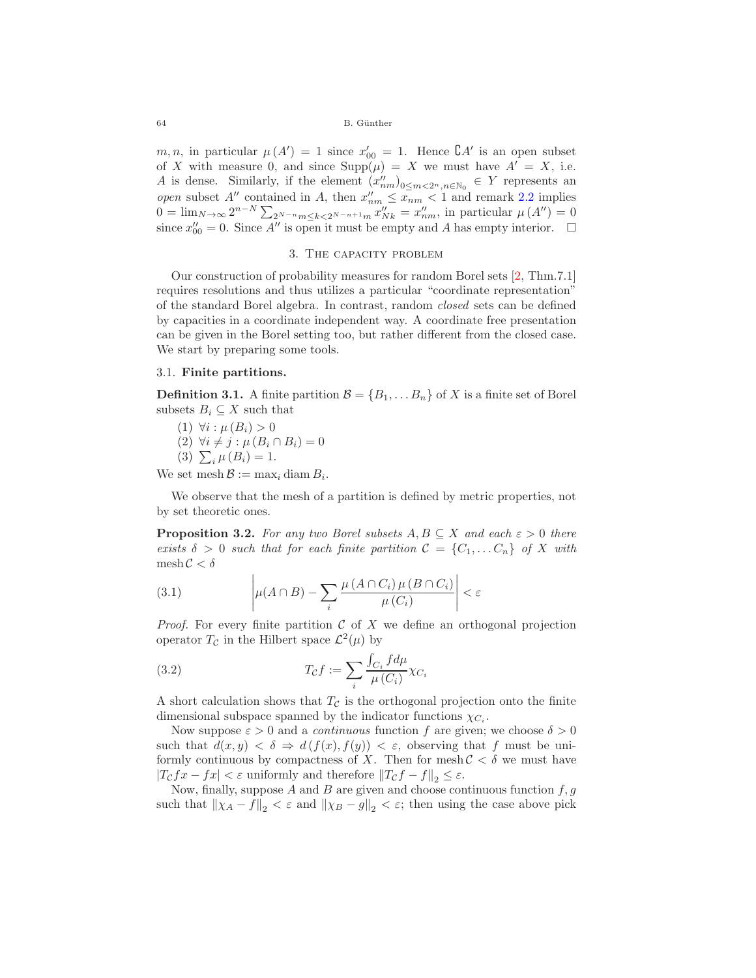64 B. Günther

m, n, in particular  $\mu(A') = 1$  since  $x'_{00} = 1$ . Hence  $\mathcal{C}A'$  is an open subset of X with measure 0, and since  $\text{Supp}(\mu) = X$  we must have  $A' = X$ , i.e. A is dense. Similarly, if the element  $(x''_{nm})_{0 \leq m < 2^n, n \in \mathbb{N}_0} \in Y$  represents an anomaly  $2, 2$  implies *open* subset A'' contained in A, then  $x_{nm}'' \leq x_{nm} < 1$  and remark [2.2](#page-2-0) implies  $0 = \lim_{x \to 0} x^{n-N} \sum_{x''} \frac{x''}{x''} = x''$  in particular  $u(A'') = 0$ 0 =  $\lim_{N\to\infty} 2^{n-N} \sum_{2^{N-n}m \le k < 2^{N-n+1}m} x_{Nk}'' = x_{nm}''$ , in particular  $\mu(A'') = 0$  since  $x_{00}'' = 0$ . Since A'' is open it must be empty and A has empty interior. □

#### 3. The capacity problem

<span id="page-3-0"></span>Our construction of probability measures for random Borel sets [\[2,](#page-18-2) Thm.7.1] requires resolutions and thus utilizes a particular "coordinate representation" of the standard Borel algebra. In contrast, random *closed* sets can be defined by capacities in a coordinate independent way. A coordinate free presentation can be given in the Borel setting too, but rather different from the closed case. We start by preparing some tools.

# 3.1. **Finite partitions.**

**Definition 3.1.** A finite partition  $\mathcal{B} = \{B_1, \ldots, B_n\}$  of X is a finite set of Borel subsets  $B_i \subseteq X$  such that

- (1)  $\forall i : \mu(B_i) > 0$
- (2)  $\forall i \neq j : \mu (B_i \cap B_i) = 0$
- (3)  $\sum_i \mu(B_i) = 1.$

We set mesh  $\mathcal{B} := \max_i \text{diam } B_i$ .

We observe that the mesh of a partition is defined by metric properties, not by set theoretic ones.

<span id="page-3-2"></span>**Proposition 3.2.** For any two Borel subsets  $A, B \subseteq X$  and each  $\varepsilon > 0$  there *exists*  $\delta > 0$  *such that for each finite partition*  $\mathcal{C} = \{C_1, \ldots C_n\}$  *of* X *with* mesh  $C < \delta$ 

<span id="page-3-1"></span>(3.1) 
$$
\left|\mu(A \cap B) - \sum_{i} \frac{\mu(A \cap C_i) \mu(B \cap C_i)}{\mu(C_i)}\right| < \varepsilon
$$

*Proof.* For every finite partition  $\mathcal C$  of  $X$  we define an orthogonal projection operator  $T_c$  in the Hilbert space  $\mathcal{L}^2(\mu)$  by

(3.2) 
$$
T_{\mathcal{C}}f := \sum_{i} \frac{\int_{C_i} f d\mu}{\mu(C_i)} \chi_{C_i}
$$

A short calculation shows that  $T_{\mathcal{C}}$  is the orthogonal projection onto the finite dimensional subspace spanned by the indicator functions  $\chi_{C_i}$ .

Now suppose  $\varepsilon > 0$  and a *continuous* function f are given; we choose  $\delta > 0$ such that  $d(x, y) < \delta \Rightarrow d(f(x), f(y)) < \varepsilon$ , observing that f must be uniformly continuous by compactness of X. Then for mesh  $C < \delta$  we must have  $|T_{\mathcal{C}} f x - f x| < \varepsilon$  uniformly and therefore  $||T_{\mathcal{C}} f - f||_2 \leq \varepsilon$ .

Now, finally, suppose  $A$  and  $B$  are given and choose continuous function  $f,g$ such that  $\|\chi_A - f\|_2 < \varepsilon$  and  $\|\chi_B - g\|_2 < \varepsilon$ ; then using the case above pick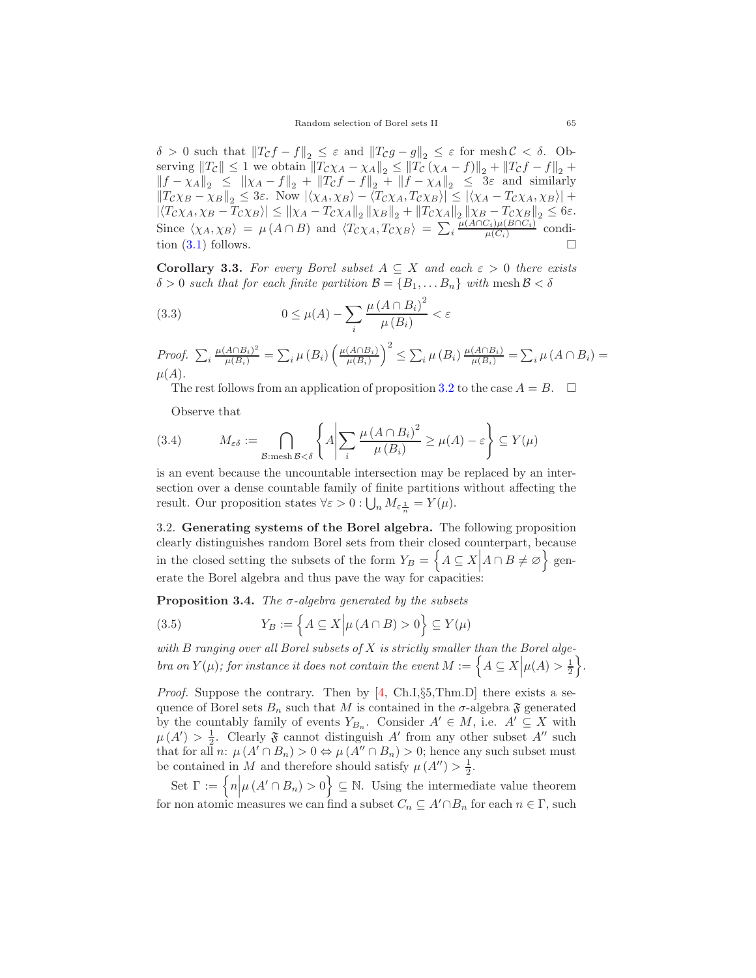Random selection of Borel sets II 65

 $\delta > 0$  such that  $||T_{\mathcal{C}}f - f||_2 \leq \varepsilon$  and  $||T_{\mathcal{C}}g - g||_2 \leq \varepsilon$  for mesh  $\mathcal{C} < \delta$ . Observing  $||T_{\mathcal{C}}|| \leq 1$  we obtain  $||T_{\mathcal{C}}\chi_A - \chi_A||_2 \leq ||T_{\mathcal{C}}(\chi_A - f)||_2 + ||T_{\mathcal{C}}f - f||_2 +$  $||f - \chi_A||_2 \le ||\chi_A - f||_2 + ||T_Cf - f||_2 + ||f - \chi_A||_2 \le 3\varepsilon$  and similarly  $||T_{\mathcal{C}} \chi_{\mathcal{B}} - \chi_{\mathcal{B}}||_2 \leq 3\varepsilon$ . Now  $|\langle \chi_A, \chi_B \rangle - \langle T_{\mathcal{C}} \chi_A, T_{\mathcal{C}} \chi_B \rangle| \leq |\langle \chi_A - T_{\mathcal{C}} \chi_A, \chi_B \rangle| +$  $\left| \langle T_{C}\chi_{A}, \chi_{B} - T_{C}\chi_{B} \rangle \right| \leq \left\| \chi_{A} - T_{C}\chi_{A} \right\|_{2} \left\| \chi_{B} \right\|_{2} + \left\| T_{C}\chi_{A} \right\|_{2} \left\| \chi_{B} - T_{C}\chi_{B} \right\|_{2} \leq 6\varepsilon.$ Since  $\langle \chi_A, \chi_B \rangle = \mu(A \cap B)$  and  $\langle T_c \chi_A, T_c \chi_B \rangle = \sum_i \frac{\mu(A \cap C_i) \mu(B \cap C_i)}{\mu(C_i)}$  condition [\(3.1\)](#page-3-1) follows.

<span id="page-4-0"></span>**Corollary 3.3.** For every Borel subset  $A \subseteq X$  and each  $\varepsilon > 0$  there exists  $\delta > 0$  such that for each finite partition  $\mathcal{B} = \{B_1, \ldots B_n\}$  with mesh  $\mathcal{B} < \delta$ 

(3.3) 
$$
0 \leq \mu(A) - \sum_{i} \frac{\mu(A \cap B_i)^2}{\mu(B_i)} < \varepsilon
$$

*Proof.*  $\sum_i \frac{\mu(A \cap B_i)^2}{\mu(B_i)} = \sum_i \mu(B_i) \left( \frac{\mu(A \cap B_i)}{\mu(B_i)} \right)$  $\mu(B_i)$  $\int^{2} \leq \sum_{i} \mu(B_{i}) \frac{\mu(A \cap B_{i})}{\mu(B_{i})} = \sum_{i} \mu(A \cap B_{i}) =$  $\mu(A).$ 

The rest follows from an application of proposition [3.2](#page-3-2) to the case  $A = B$ .  $\Box$ 

Observe that

(3.4) 
$$
M_{\varepsilon\delta} := \bigcap_{\mathcal{B}: \text{mesh } \mathcal{B} < \delta} \left\{ A \middle| \sum_{i} \frac{\mu(A \cap B_{i})^2}{\mu(B_{i})} \ge \mu(A) - \varepsilon \right\} \subseteq Y(\mu)
$$

is an event because the uncountable intersection may be replaced by an intersection over a dense countable family of finite partitions without affecting the result. Our proposition states  $\forall \varepsilon > 0 : \bigcup_n M_{\varepsilon \frac{1}{n}} = Y(\mu)$ .

3.2. **Generating systems of the Borel algebra.** The following proposition clearly distinguishes random Borel sets from their closed counterpart, because in the closed setting the subsets of the form  $Y_B = \left\{ A \subseteq X \middle| A \cap B \neq \emptyset \right\}$  generate the Borel algebra and thus pave the way for capacities

**Proposition 3.4.** *The* <sup>σ</sup>*-algebra generated by the subsets*

(3.5) 
$$
Y_B := \left\{ A \subseteq X \middle| \mu(A \cap B) > 0 \right\} \subseteq Y(\mu)
$$

*with* B *ranging over all Borel subsets of* X *is strictly smaller than the Borel algebra on*  $Y(\mu)$ *; for instance it does not contain the event*  $M := \left\{ A \subseteq X \Big| \mu(A) > \frac{1}{2} \right\}$ *.* 

*Proof.* Suppose the contrary. Then by [\[4,](#page-18-6) Ch.I, §5, Thm.D] there exists a sequence of Borel sets  $B_n$  such that M is contained in the  $\sigma$ -algebra  $\mathfrak F$  generated by the countably family of events  $Y_{B_n}$ . Consider  $A' \in M$ , i.e.  $A' \subseteq X$  with  $\mu(A') > \frac{1}{2}$ . Clearly  $\mathfrak{F}$  cannot distinguish A' from any other subset A'' such that for all n:  $\mu(A' \cap B_n) > 0 \Leftrightarrow \mu(A'' \cap B_n) > 0$ ; hence any such subset must be contained in M and therefore should satisfy  $\mu(A'') > \frac{1}{2}$ .

Set  $\Gamma := \{ n | \mu (A' \cap B_n) > 0 \} \subseteq \mathbb{N}$ . Using the intermediate value theorem for non atomic measures we can find a subset  $C_n \subseteq A' \cap B_n$  for each  $n \in \Gamma$ , such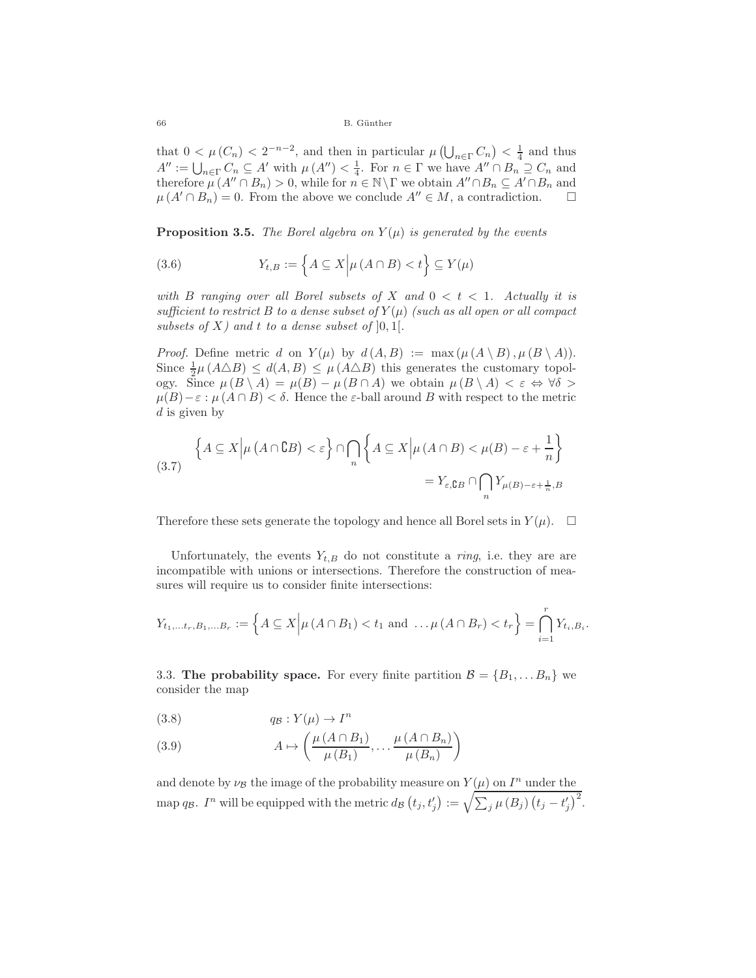66 B. G¨unther

that  $0 < \mu(C_n) < 2^{-n-2}$ , and then in particular  $\mu(\bigcup_{n \in \Gamma} C_n) < \frac{1}{4}$  and thus  $A'' = \prod_{n=1}^{\infty} C_n \subset A'$  with  $\mu(A'') < \frac{1}{4}$ . For  $n \in \Gamma$  we have  $A'' \cap B_n \supseteq C$  and  $A'' := \bigcup_{n \in \Gamma} C_n \subseteq A'$  with  $\mu(A'') < \frac{1}{4}$ . For  $n \in \Gamma$  we have  $A'' \cap B_n \supseteq C_n$  and therefore  $\mu(A'' \cap B_n) > 0$  while for  $n \in \mathbb{N} \setminus \Gamma$  we obtain  $A'' \cap B_n \subseteq A' \cap B$  and therefore  $\mu(A'' \cap B_n) > 0$ , while for  $n \in \mathbb{N} \backslash \Gamma$  we obtain  $A'' \cap B_n \subseteq A' \cap B_n$  and  $\mu(A' \cap B_1) = 0$ . Even the shows we conclude  $A'' \subset M$  s contradiction  $\mu(A' \cap B_n) = 0$ . From the above we conclude  $A'' \in M$ , a contradiction.  $\square$ 

<span id="page-5-1"></span>**Proposition 3.5.** *The Borel algebra on*  $Y(\mu)$  *is generated by the events* 

(3.6) 
$$
Y_{t,B} := \left\{ A \subseteq X \middle| \mu(A \cap B) < t \right\} \subseteq Y(\mu)
$$

*with* B ranging over all Borel subsets of X and  $0 < t < 1$ . Actually it is *sufficient to restrict* B *to a dense subset of*  $Y(\mu)$  *(such as all open or all compact subsets of*  $X$ *)* and  $t$  *to a dense subset of*  $]0,1[$ *.* 

*Proof.* Define metric d on  $Y(\mu)$  by  $d(A, B) := \max(\mu(A \setminus B), \mu(B \setminus A)).$ Since  $\frac{1}{2}\mu(A\Delta B) \leq d(A, B) \leq \mu(A\Delta B)$  this generates the customary topology. Since  $\mu(B \setminus A) = \mu(B) - \mu(B \cap A)$  we obtain  $\mu(B \setminus A) < \varepsilon \Leftrightarrow \forall \delta >$  $\mu(B)-\varepsilon : \mu(A\cap B)<\delta$ . Hence the  $\varepsilon$ -ball around B with respect to the metric  $d$  is given by

$$
\left\{ A \subseteq X \middle| \mu(A \cap \complement B) < \varepsilon \right\} \cap \bigcap_{n} \left\{ A \subseteq X \middle| \mu(A \cap B) < \mu(B) - \varepsilon + \frac{1}{n} \right\}
$$
\n
$$
= Y_{\varepsilon, \complement B} \cap \bigcap_{n} Y_{\mu(B) - \varepsilon + \frac{1}{n}, B}
$$

Therefore these sets generate the topology and hence all Borel sets in  $Y(\mu)$ .  $\Box$ 

Unfortunately, the events  $Y_{t,B}$  do not constitute a *ring*, i.e. they are are incompatible with unions or intersections. Therefore the construction of measures will require us to consider finite intersections:

$$
Y_{t_1,...t_r,B_1,...B_r} := \left\{ A \subseteq X \middle| \mu(A \cap B_1) < t_1 \text{ and } ... \mu(A \cap B_r) < t_r \right\} = \bigcap_{i=1}^r Y_{t_i,B_i}.
$$

3.3. **The probability space.** For every finite partition  $\mathcal{B} = \{B_1, \ldots B_n\}$  we consider the map

<span id="page-5-0"></span>
$$
(3.8) \t q_B: Y(\mu) \to I^n
$$

(3.9) 
$$
A \mapsto \left(\frac{\mu(A \cap B_1)}{\mu(B_1)}, \dots, \frac{\mu(A \cap B_n)}{\mu(B_n)}\right)
$$

and denote by  $\nu_B$  the image of the probability measure on  $Y(\mu)$  on  $I^n$  under the map q<sub>B</sub>.  $I^n$  will be equipped with the metric  $d_B(t_j, t'_j) := \sqrt{\sum_j \mu(B_j)(t_j - t'_j)^2}$ .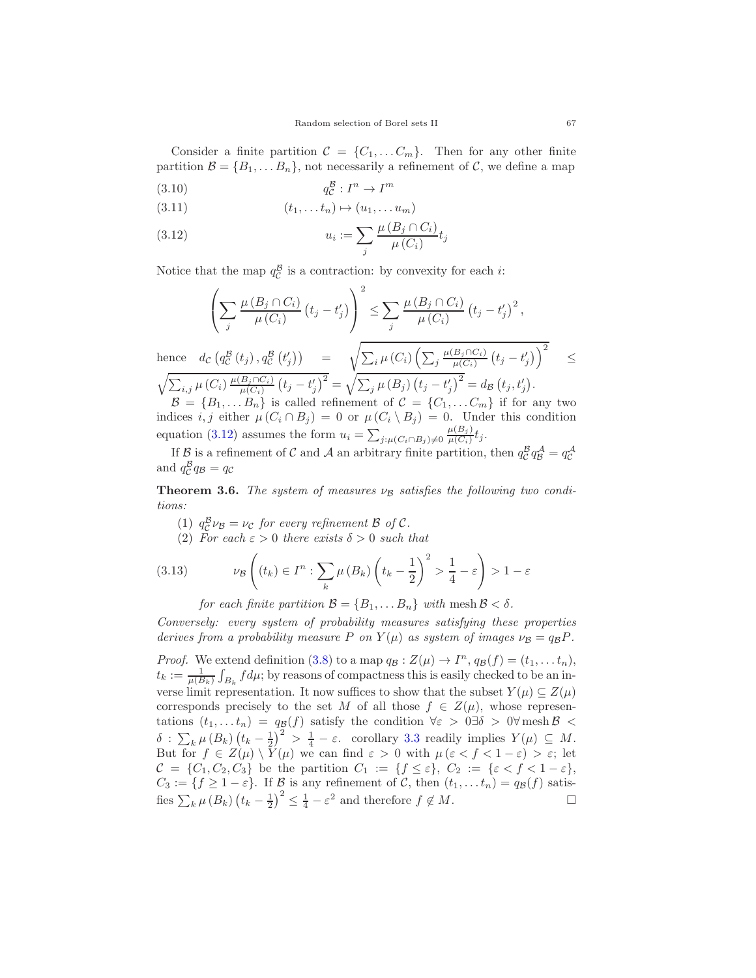Consider a finite partition  $\mathcal{C} = \{C_1, \ldots C_m\}$ . Then for any other finite partition  $\mathcal{B} = \{B_1, \ldots B_n\}$ , not necessarily a refinement of  $\mathcal{C}$ , we define a map

$$
(3.10) \t\t q_{\mathcal{C}}^{\mathcal{B}} : I^n \to I^m
$$

$$
(3.11) \qquad \qquad (t_1, \ldots t_n) \mapsto (u_1, \ldots u_m)
$$

<span id="page-6-0"></span>
$$
(3.12) \t\t u_i := \sum_j \frac{\mu(B_j \cap C_i)}{\mu(C_i)} t_j
$$

Notice that the map  $q_C^B$  is a contraction: by convexity for each *i*:

$$
\left(\sum_{j} \frac{\mu(B_j \cap C_i)}{\mu(C_i)} (t_j - t'_j) \right)^2 \le \sum_{j} \frac{\mu(B_j \cap C_i)}{\mu(C_i)} (t_j - t'_j)^2,
$$
\nhence  $dc \left(q_c^{\mathcal{B}}(t_j), q_c^{\mathcal{B}}(t'_j) \right) = \sqrt{\sum_{i} \mu(C_i) \left(\sum_{j} \frac{\mu(B_j \cap C_i)}{\mu(C_i)} (t_j - t'_j) \right)^2} \le \sqrt{\sum_{i,j} \mu(C_i) \frac{\mu(B_j \cap C_i)}{\mu(C_i)} (t_j - t'_j)^2} = \sqrt{\sum_{j} \mu(B_j) (t_j - t'_j)^2} = d_{\mathcal{B}} (t_j, t'_j).$ \n
$$
\mathcal{B} = \{B_1, \dots B_n\} \text{ is called refinement of } C = \{C_1, \dots C_m\} \text{ if for any two indices } i, \text{ either } \mu(C_i \cap B_i) = 0 \text{ or } \mu(C_i \cap B_i).
$$

 $\mathcal{V}$ indices i, j either  $\mu(C_i \cap B_j) = 0$  or  $\mu(C_i \setminus B_j) = 0$ . Under this condition equation [\(3.12\)](#page-6-0) assumes the form  $u_i = \sum_{j:\mu(C_i \cap B_j) \neq 0} \frac{\mu(B_j)}{\mu(C_i)} t_j$ .

If  $\mathcal{B}$  is a refinement of  $\mathcal{C}$  and  $\mathcal{A}$  an arbitrary finite partition, then  $q_C^B q_B^{\mathcal{A}} = q_C^{\mathcal{A}}$ and  $q_{\mathcal{C}}^{\mathcal{B}} q_{\mathcal{B}} = q_{\mathcal{C}}$ 

<span id="page-6-1"></span>**Theorem 3.6.** *The system of measures*  $\nu_B$  *satisfies the following two conditions:*

- (1)  $q_C^B \nu_B = \nu_C$  *for every refinement*  $\beta$  *of*  $C$ *.*
- (2) For each  $\varepsilon > 0$  there exists  $\delta > 0$  such that

(3.13) 
$$
\nu_{\mathcal{B}}\left((t_k)\in I^n: \sum_k \mu(B_k)\left(t_k-\frac{1}{2}\right)^2>\frac{1}{4}-\varepsilon\right)>1-\varepsilon
$$

for each finite partition  $\mathcal{B} = \{B_1, \ldots B_n\}$  with mesh  $\mathcal{B} < \delta$ .

*Conversely: every system of probability measures satisfying these properties derives from a probability measure* P *on*  $Y(\mu)$  *as system of images*  $\nu_B = q_B P$ .

*Proof.* We extend definition [\(3.8\)](#page-5-0) to a map  $q_B : Z(\mu) \to I^n$ ,  $q_B(f) = (t_1, \ldots, t_n)$ ,  $t_k := \frac{1}{\mu(B_k)} \int_{B_k} f d\mu$ ; by reasons of compactness this is easily checked to be an inverse limit representation. It now suffices to show that the subset  $Y(\mu) \subseteq Z(\mu)$ corresponds precisely to the set M of all those  $f \in Z(\mu)$ , whose representations  $(t_1,...t_n) = q_{\mathcal{B}}(f)$  satisfy the condition  $\forall \varepsilon > 0 \exists \delta > 0 \forall \text{ mesh } \beta <$  $\delta : \sum_{k} \mu(B_k) (t_k - \frac{1}{2})^2 > \frac{1}{4} - \varepsilon.$  corollary [3.3](#page-4-0) readily implies  $Y(\mu) \subseteq M$ .<br>But for  $f \in Z(\mu) \setminus Y(\mu)$  we can find  $\varepsilon > 0$  with  $\mu(\varepsilon < f < 1 - \varepsilon) > \varepsilon$ ; let But for  $f \in Z(\mu) \setminus Y(\mu)$  we can find  $\varepsilon > 0$  with  $\mu (\varepsilon < f < 1 - \varepsilon) > \varepsilon$ ; let  $\mathcal{C} = \{C_1, C_2, C_3\}$  be the partition  $C_1 := \{f \leq \varepsilon\}, C_2 := \{\varepsilon < f < 1 - \varepsilon\},$  $C_3 := \{f \ge 1 - \varepsilon\}$ . If  $\mathcal B$  is any refinement of  $\mathcal C$ , then  $(t_1, \ldots t_n) = q_{\mathcal B}(f)$  satis-<br>fies  $\sum_{i} \mu(B_i) (t_{i-1}-1)^2 \le 1 - \varepsilon^2$  and therefore  $f \notin M$ . fies  $\sum_{k} \mu(B_k) (t_k - \frac{1}{2})^2 \leq \frac{1}{4} - \varepsilon^2$  and therefore  $f \notin M$ .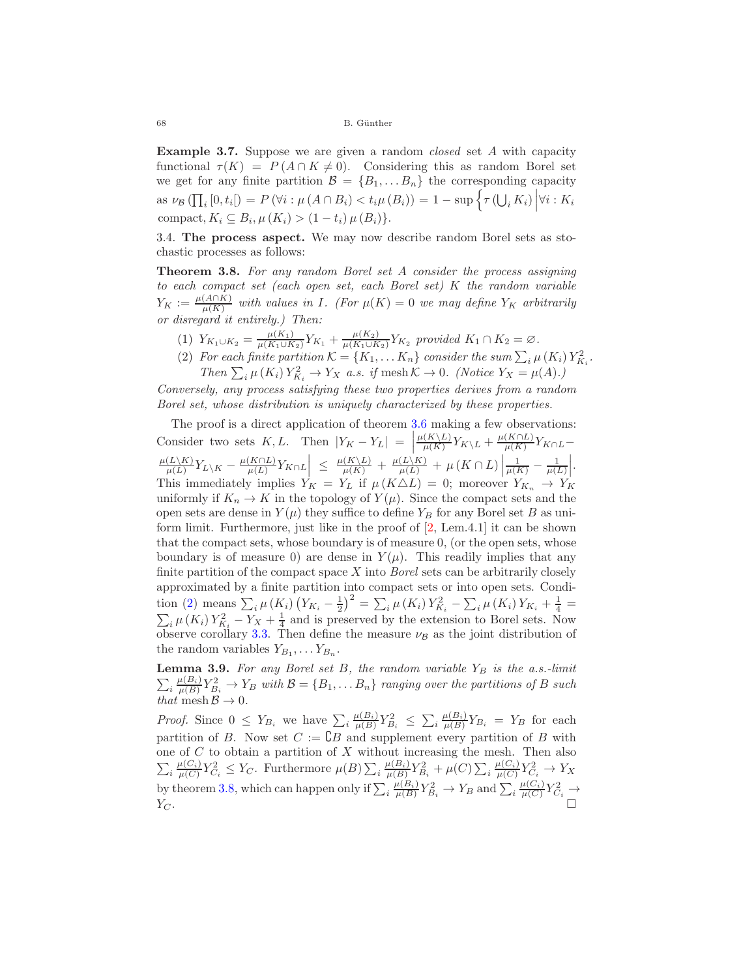68 B. G¨unther

**Example 3.7.** Suppose we are given a random *closed* set <sup>A</sup> with capacity functional  $\tau(K) = P(A \cap K \neq 0)$ . Considering this as random Borel set we get for any finite partition  $\mathcal{B} = \{B_1, \ldots B_n\}$  the corresponding capacity as  $\nu_{\mathcal{B}}(\prod_i [0, t_i]) = P(\forall i : \mu(A \cap B_i) < t_i \mu(B_i)) = 1 - \sup \Big\{ \tau(\bigcup_i K_i) \Big| \forall i : K_i$ compact,  $K_i \subseteq B_i$ ,  $\mu(K_i) > (1-t_i) \mu(B_i)$ .

3.4. **The process aspect.** We may now describe random Borel sets as stochastic processes as follows:

<span id="page-7-1"></span>**Theorem 3.8.** *For any random Borel set* <sup>A</sup> *consider the process assigning to each compact set (each open set, each Borel set)* K *the random variable*  $Y_K := \frac{\mu(A \cap K)}{\mu(K)}$  with values in *I*. (For  $\mu(K) = 0$  *we may define*  $Y_K$  *arbitrarily or disregard it entirely.) Then:*

- <span id="page-7-0"></span>(1)  $Y_{K_1 \cup K_2} = \frac{\mu(K_1)}{\mu(K_1 \cup K_2)} Y_{K_1} + \frac{\mu(K_2)}{\mu(K_1 \cup K_2)} Y_{K_2}$  provided  $K_1 \cap K_2 = \emptyset$ .<br>(2) Expect for its partition  $K_1 \cap K_2 = K_1$  consider the sum  $\sum_{i=1}^{\infty}$
- (2) For each finite partition  $K = \{K_1, \ldots, K_n\}$  consider the sum  $\sum_i \mu(K_i) Y_{K_i}^2$ .<br>Then  $\sum_i \mu(K_i) Y_i^2 \longrightarrow \text{K}_{i,j}$  a sit mosh  $K \rightarrow 0$ . (Notice  $X_i = \mu(A_i)$ ) *Then*  $\sum_i \mu(K_i) Y_{K_i}^2 \to Y_X$  *a.s.* if mesh  $K \to 0$ . (Notice  $Y_X = \mu(A)$ .)

*Conversely, any process satisfying these two properties derives from a random Borel set, whose distribution is uniquely characterized by these properties.*

The proof is a direct application of theorem [3.6](#page-6-1) making a few observations: Consider two sets K, L. Then  $|Y_K - Y_L| =$  $\frac{\mu(K\setminus L)}{\mu(K)} Y_{K\setminus L} + \frac{\mu(K\cap L)}{\mu(K)} Y_{K\cap L} \left| \frac{\mu(L\backslash K)}{\mu(L)} Y_{L\backslash K} - \frac{\mu(K\cap L)}{\mu(L)} Y_{K\cap L} \right| \leq \left| \frac{\mu(K\backslash L)}{\mu(K)} + \frac{\mu(L\backslash K)}{\mu(L)} + \mu(K\cap L) \right|$  $\frac{1}{\mu(K)} - \frac{1}{\mu(L)}$  . This immediately implies  $Y_K = Y_L$  if  $\mu(K \triangle L) = 0$ ; moreover  $Y_{K_n} \to Y_K$ <br>uniformly if  $K \to K$  in the topology of  $V(\mu)$ . Since the compact orta and the uniformly if  $K_n \to K$  in the topology of  $Y(\mu)$ . Since the compact sets and the open sets are dense in  $Y(\mu)$  they suffice to define  $Y_B$  for any Borel set B as uniform limit. Furthermore, just like in the proof of [\[2,](#page-18-2) Lem.4.1] it can be shown that the compact sets, whose boundary is of measure 0, (or the open sets, whose boundary is of measure 0) are dense in  $Y(\mu)$ . This readily implies that any finite partition of the compact space X into *Borel* sets can be arbitrarily closely approximated by a finite partition into compact sets or into open sets. Condi-tion [\(2\)](#page-7-0) means  $\sum_i \mu(K_i) (Y_{K_i} - \frac{1}{2})^2 = \sum_i \mu(K_i) Y_{K_i}^2 - \sum_i \mu(K_i) Y_{K_i} + \frac{1}{4} =$ <br> $\sum_i \mu(K_i) Y_{K_i}^2 + \frac{1}{4}$  and is presented by the extension to Perel sets. Now  $\sum_{i} \mu(K_i) Y_{K_i}^2 - Y_X + \frac{1}{4}$  and is preserved by the extension to Borel sets. Now observe corollary [3.3.](#page-4-0) Then define the measure  $\nu_B$  as the joint distribution of the random variables  $Y_{B_1}, \ldots Y_{B_n}$ .

**Lemma 3.9.** For any Borel set B, the random variable  $Y_B$  is the a.s.-limit  $\sum_{i} \frac{\mu(B_i)}{\mu(B)} Y_{B_i}^2 \to Y_B$  with  $\mathcal{B} = \{B_1, \dots B_n\}$  ranging over the partitions of B such that mosh  $\mathcal{B} \to 0$ *that* mesh  $\mathcal{B} \to 0$ .

*Proof.* Since  $0 \le Y_{B_i}$  we have  $\sum_i \frac{\mu(B_i)}{\mu(B)} Y_{B_i}^2 \le \sum_i \frac{\mu(B_i)}{\mu(B)} Y_{B_i} = Y_B$  for each negative of  $B$  where  $B_i$  and negative integration of  $B_i$  with partition of B. Now set  $C := \mathbb{C}B$  and supplement every partition of B with one of  $C$  to obtain a partition of  $X$  without increasing the mesh. Then also  $\sum_{i} \frac{\mu(C_i)}{\mu(C)} Y_{C_i}^2 \leq Y_C$ . Furthermore  $\mu(B) \sum_{i} \frac{\mu(B_i)}{\mu(B)} Y_{B_i}^2 + \mu(C) \sum_{i} \frac{\mu(C_i)}{\mu(C)} Y_{C_i}^2 \to Y_X$ by theorem [3.8,](#page-7-1) which can happen only if  $\sum_{i} \frac{\mu(B_i)}{\mu(B)} Y_{B_i}^2 \to Y_B$  and  $\sum_{i} \frac{\mu(C_i)}{\mu(C)} Y_{C_i}^2 \to Y_B$  $Y_C$ .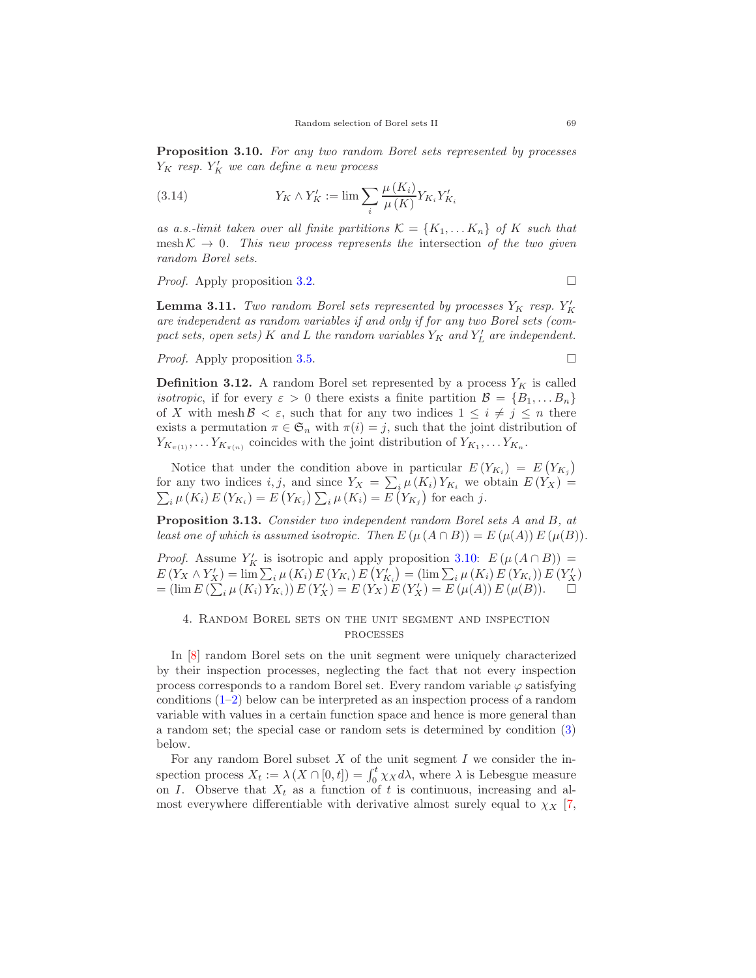<span id="page-8-1"></span>**Proposition 3.10.** *For any two random Borel sets represented by processes*  $Y_K$  resp.  $Y'_K$  we can define a new process

(3.14) 
$$
Y_K \wedge Y_K' := \lim \sum_i \frac{\mu(K_i)}{\mu(K)} Y_{K_i} Y_{K_i}'
$$

as a.s.-limit taken over all finite partitions  $\mathcal{K} = \{K_1, \ldots K_n\}$  of K such that  $mesh \mathcal{K} \rightarrow 0$ . This new process represents the intersection of the two given *random Borel sets.*

*Proof.* Apply proposition [3.2.](#page-3-2) □

**Lemma 3.11.** *Two random Borel sets represented by processes*  $Y_K$  *resp.*  $Y_K'$ are independent as random variables if and only if for any two Borel sets (com*pact sets, open sets)*  $K$  *and*  $L$  *the random variables*  $Y_K$  *and*  $Y'_L$  *are independent.* 

*Proof.* Apply proposition [3.5.](#page-5-1) □

**Definition 3.12.** A random Borel set represented by a process  $Y_K$  is called *isotropic*, if for every  $\varepsilon > 0$  there exists a finite partition  $\mathcal{B} = \{B_1, \ldots B_n\}$ of X with mesh  $\mathcal{B} < \varepsilon$ , such that for any two indices  $1 \leq i \neq j \leq n$  there exists a permutation  $\pi \in \mathfrak{S}_n$  with  $\pi(i) = j$ , such that the joint distribution of  $Y_{K_{\pi(1)}}, \ldots, Y_{K_{\pi(n)}}$  coincides with the joint distribution of  $Y_{K_1}, \ldots, Y_{K_n}$ .

Notice that under the condition above in particular  $E(Y_{K_i}) = E(Y_{K_j})$ for any two indices  $i, j$ , and since  $Y_X = \sum_i \mu(K_i) Y_{K_i}$  we obtain  $E(Y_X) = \sum_i \mu(K_i) E(Y_{K_i}) = E(Y_{K_i}) \sum_i \mu(K_i) = E(Y_{K_i})$  for each j.  $_{i} \mu (K_{i}) E(Y_{K_{i}}) = E(Y_{K_{j}}) \sum_{i} \mu (K_{i}) = E(Y_{K_{j}})$  for each j.

**Proposition 3.13.** *Consider two independent random Borel sets* <sup>A</sup> *and* <sup>B</sup>*, at least one of which is assumed isotropic. Then*  $E(\mu(A \cap B)) = E(\mu(A))E(\mu(B)).$ 

*Proof.* Assume  $Y_K'$  is isotropic and apply proposition [3.10:](#page-8-1)  $E(\mu(A \cap B)) =$ <br> $E(Y_{X} \wedge Y') = \lim_{M \to \infty} \sum_{U}(K) E(Y_{X}) E(Y') = (\lim_{M \to \infty} \sum_{U}(K) E(Y_{X})) E(Y')$  $E(Y_X \wedge Y'_X) = \lim_{i} \sum_i \mu(K_i) E(Y_{K_i}) E(Y'_{K_i}) = (\lim_{i} \sum_i \mu(K_i) E(Y'_X)) E(Y'_X)$ <br>= (lim  $E(\sum_i \mu(K_i) Y_{K_i}) E(Y'_X) = E(Y_X) E(Y'_X) = E(\mu(A)) E(\mu(B)).$ 

# <span id="page-8-0"></span>4. Random Borel sets on the unit segment and inspection processes

In [\[8\]](#page-18-3) random Borel sets on the unit segment were uniquely characterized by their inspection processes, neglecting the fact that not every inspection process corresponds to a random Borel set. Every random variable  $\varphi$  satisfying conditions [\(1–](#page-9-0)[2\)](#page-9-1) below can be interpreted as an inspection process of a random variable with values in a certain function space and hence is more general than a random set; the special case or random sets is determined by condition [\(3\)](#page-9-2) below.

For any random Borel subset  $X$  of the unit segment  $I$  we consider the inspection process  $X_t := \lambda (X \cap [0, t]) = \int_0^t \chi_X d\lambda$ , where  $\lambda$  is Lebesgue measure on I. Observe that  $X_t$  as a function of t is continuous, increasing and almost everywhere differentiable with derivative almost surely equal to  $\chi_X$  [\[7,](#page-18-7)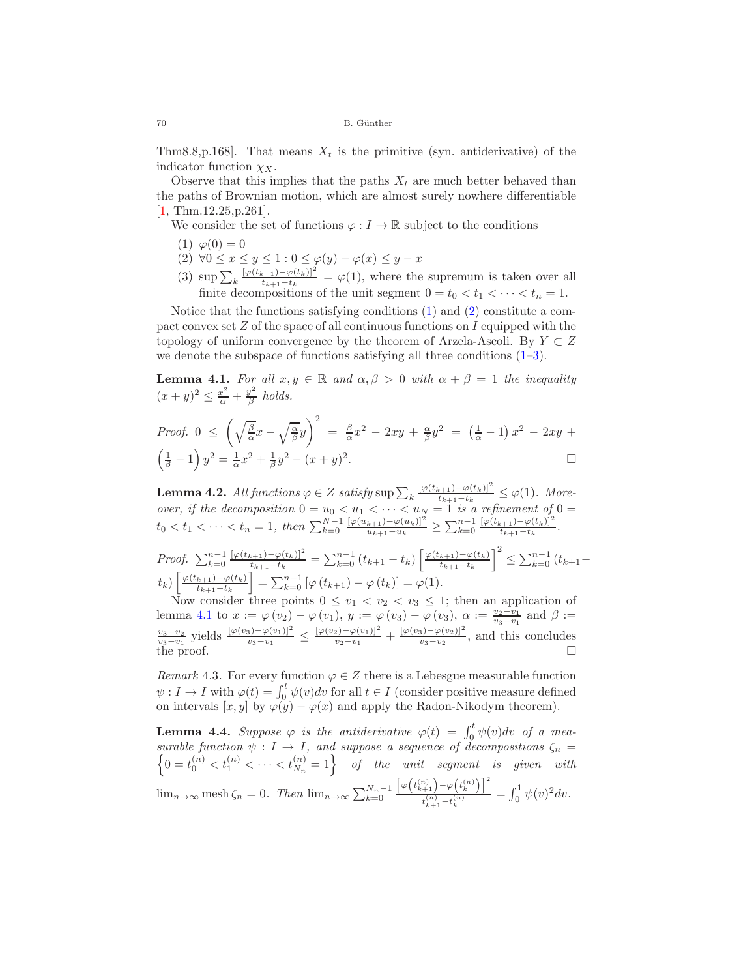Thm8.8,p.168. That means  $X_t$  is the primitive (syn. antiderivative) of the indicator function  $\chi_X$ .

Observe that this implies that the paths  $X_t$  are much better behaved than the paths of Brownian motion, which are almost surely nowhere differentiable [\[1,](#page-18-8) Thm.12.25,p.261].

<span id="page-9-0"></span>We consider the set of functions  $\varphi: I \to \mathbb{R}$  subject to the conditions

- <span id="page-9-1"></span>(1)  $\varphi(0) = 0$
- <span id="page-9-2"></span>(2)  $\forall 0 \leq x \leq y \leq 1: 0 \leq \varphi(y) - \varphi(x) \leq y - x$
- (3)  $\sup_{k} \sum_{k} \frac{[\varphi(t_{k+1}) \varphi(t_k)]^2}{t_{k+1} t_k} = \varphi(1)$ , where the supremum is taken over all finite decompositions of the unit second  $0 = t_1 < t_2 < t_1 < t_2$ finite decompositions of the unit segment  $0 = t_0 < t_1 < \cdots < t_n = 1$ .

Notice that the functions satisfying conditions [\(1\)](#page-9-0) and [\(2\)](#page-9-1) constitute a compact convex set  $Z$  of the space of all continuous functions on  $I$  equipped with the topology of uniform convergence by the theorem of Arzela-Ascoli. By  $Y \subset Z$ we denote the subspace of functions satisfying all three conditions  $(1-3)$  $(1-3)$ .

<span id="page-9-3"></span>**Lemma 4.1.** *For all*  $x, y \in \mathbb{R}$  *and*  $\alpha, \beta > 0$  *with*  $\alpha + \beta = 1$  *the inequality*  $(x+y)^2 \leq \frac{x^2}{\alpha} + \frac{y^2}{\beta}$  holds.

*Proof.* 
$$
0 \le \left(\sqrt{\frac{\beta}{\alpha}}x - \sqrt{\frac{\alpha}{\beta}}y\right)^2 = \frac{\beta}{\alpha}x^2 - 2xy + \frac{\alpha}{\beta}y^2 = \left(\frac{1}{\alpha} - 1\right)x^2 - 2xy + \left(\frac{1}{\beta} - 1\right)y^2 = \frac{1}{\alpha}x^2 + \frac{1}{\beta}y^2 - (x + y)^2.
$$

**Lemma 4.2.** *All functions*  $\varphi \in Z$  *satisfy* sup  $\sum_{k} \frac{[\varphi(t_{k+1}) - \varphi(t_k)]^2}{t_{k+1} - t_k} \leq \varphi(1)$ *. More-*<br>
cover if the decomposition  $0 = u_k \leq u_k \leq \infty$ <br>  $\leq u_k \leq u_k \leq u_k \leq u_k \leq u_k \leq u_k \leq \infty$ *over, if the decomposition*  $0 = u_0 < u_1 < \cdots < u_N = 1$  *is a refinement of*  $0 =$  $t_0 < t_1 < \cdots < t_n = 1$ , then  $\sum_{k=0}^{N-1} \frac{[\varphi(u_{k+1}) - \varphi(u_k)]^2}{u_{k+1} - u_k} \ge \sum_{k=0}^{n-1} \frac{[\varphi(t_{k+1}) - \varphi(t_k)]^2}{t_{k+1} - t_k}$ .

*Proof.* 
$$
\sum_{k=0}^{n-1} \frac{[\varphi(t_{k+1}) - \varphi(t_k)]^2}{t_{k+1} - t_k} = \sum_{k=0}^{n-1} (t_{k+1} - t_k) \left[ \frac{\varphi(t_{k+1}) - \varphi(t_k)}{t_{k+1} - t_k} \right]^2 \leq \sum_{k=0}^{n-1} (t_{k+1} - t_k) \left[ \frac{\varphi(t_{k+1}) - \varphi(t_k)}{t_{k+1} - t_k} \right] = \sum_{k=0}^{n-1} [\varphi(t_{k+1}) - \varphi(t_k)] = \varphi(1).
$$
 Now consider three points  $0 \leq v_1 < v_2 < v_3 \leq 1$ ; then an application of

lemma [4.1](#page-9-3) to  $x := \varphi(v_2) - \varphi(v_1)$ ,  $y := \varphi(v_3) - \varphi(v_3)$ ,  $\alpha := \frac{v_2 - v_1}{v_3 - v_1}$  and  $\beta :=$  $\frac{v_3-v_2}{v_3-v_1}$  yields  $\frac{[\varphi(v_3)-\varphi(v_1)]^2}{v_3-v_1}$  ≤  $\frac{[\varphi(v_2)-\varphi(v_1)]^2}{v_2-v_1}$  +  $\frac{[\varphi(v_3)-\varphi(v_2)]^2}{v_3-v_2}$ , and this concludes the proof. □

*Remark* 4.3. For every function  $\varphi \in Z$  there is a Lebesgue measurable function  $\psi: I \to I$  with  $\varphi(t) = \int_0^t \psi(v) dv$  for all  $t \in I$  (consider positive measure defined on intervals  $[x, y]$  by  $\varphi(y) - \varphi(x)$  and apply the Radon-Nikodym theorem).

<span id="page-9-4"></span>**Lemma 4.4.** *Suppose*  $\varphi$  *is the antiderivative*  $\varphi(t) = \int_0^t \psi(v) dv$  *of a mea-*<br>*surable function*  $\psi: I \to I$  and suppose a sequence of decompositions  $\zeta$ *surable function* surable function  $\psi : I \to I$ , and suppose a sequence of decompositions  $\zeta_n =$ <br>  $\{0 = t^{(n)} < t^{(n)} < \cdots < t^{(n)} = 1\}$  of the unit sequent is given with  $0 = t_0^{(n)} < t_1^{(n)} < \cdots < t_{N_n}^{(n)} = 1$  of the unit segment is given with  $\lim_{n\to\infty}$  mesh  $\zeta_n = 0$ . Then  $\lim_{n\to\infty} \sum_{k=0}^{N_n-1}$  $\left[\varphi\!\left(t_{k+1}^{\left(n\right)}\right)\!-\!\varphi\!\left(t_{k}^{\left(n\right)}\right)\right]^{2}$  $\frac{\binom{n}{k+1}-\varphi\left(t_k^{(n)}\right)\rfloor}{t_{k+1}^{(n)}-t_k^{(n)}}=\int_0^1\psi(v)^2dv.$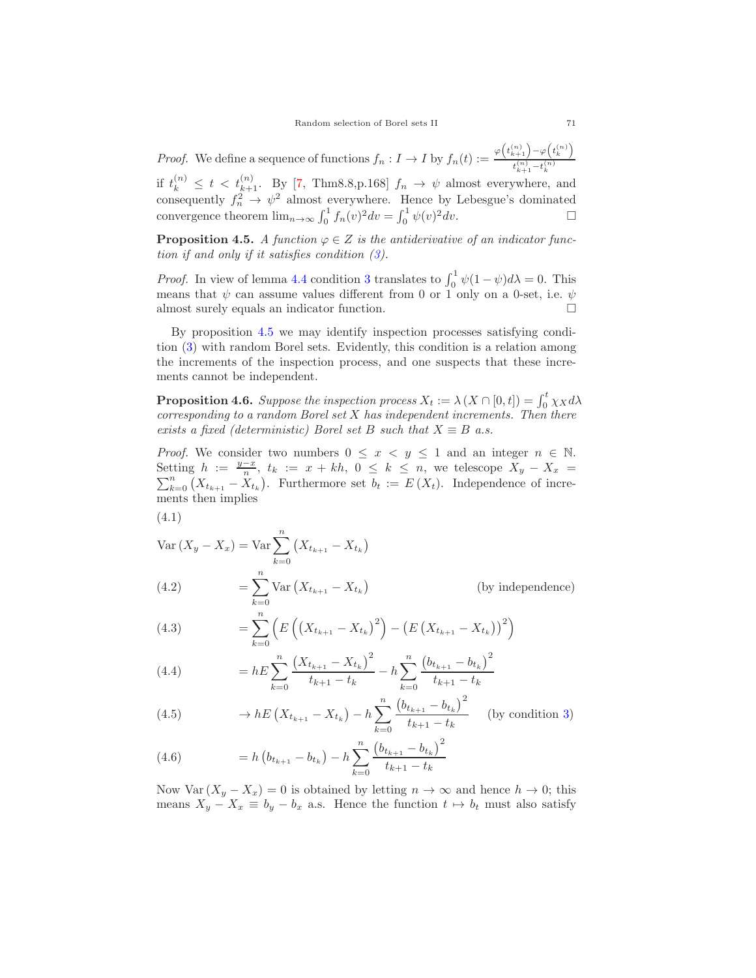*Proof.* We define a sequence of functions  $f_n: I \to I$  by  $f_n(t) := \frac{\varphi(t_{k+1}^{(n)}) - \varphi(t_k^{(n)})}{t_{k+1}^{(n)} - t_k^{(n)}}$ if  $t_k^{(n)} \leq t < t_{k+1}^{(n)}$ . By [\[7,](#page-18-7) Thm8.8,p.168]  $f_n \to \psi$  almost everywhere, and<br>consequently  $f_n^2 \to \psi^2$  almost everywhere. Hence by Lebesgue's dominated<br> $\int_0^1 f(x) dx$  $\binom{n}{k+1} - t_k^{(n)}$ convergence theorem  $\lim_{n\to\infty} \int_0^1 f_n(v)^2 dv = \int_0^1 \psi(v)^2 dv$ .

<span id="page-10-0"></span>**Proposition 4.5.** *A function*  $\varphi \in Z$  *is the antiderivative of an indicator function if and only if it satisfies condition [\(3\)](#page-9-2).*

*Proof.* In view of lemma [4.4](#page-9-4) condition [3](#page-9-2) translates to  $\int_0^1 \psi(1-\psi) d\lambda = 0$ . This means that  $\psi$  can assume values different from 0 or 1 only on a 0-set, i.e.  $\psi$ almost surely equals an indicator function.

By proposition [4.5](#page-10-0) we may identify inspection processes satisfying condition [\(3\)](#page-9-2) with random Borel sets. Evidently, this condition is a relation among the increments of the inspection process, and one suspects that these increments cannot be independent.

**Proposition 4.6.** Suppose the inspection process  $X_t := \lambda (X \cap [0,t]) = \int_0^t \chi_X d\lambda$ <br>corresponding to a random Borel set X has independent increments. Then there *corresponding to a random Borel set* X *has independent increments. Then there exists a fixed (deterministic) Borel set B such that*  $X \equiv B$  *a.s.* 

*Proof.* We consider two numbers  $0 \leq x \leq y \leq 1$  and an integer  $n \in \mathbb{N}$ . Setting  $h := \frac{y-x}{n}$ ,  $t_k := x + kh$ ,  $0 \le k \le n$ , we telescope  $X_y - X_x = \sum_{k=0}^n (X_{t_{k+1}} - X_{t_k})$ . Furthermore set  $b_t := E(X_t)$ . Independence of increments then implies ments then implies

(4.1)

Var 
$$
(X_y - X_x)
$$
 = Var  $\sum_{k=0}^{n} (X_{t_{k+1}} - X_{t_k})$   
(4.2) =  $\sum_{k=0}^{n} \text{Var}(X_{t_{k+1}} - X_{t_k})$ 

(4.2)  $= \sum_{k=0}^{\infty} \text{Var}\left(X_{t_{k+1}} - X_{t_k}\right)$  (by independence)

(4.3) 
$$
= \sum_{k=0}^{k=0} \left( E \left( \left( X_{t_{k+1}} - X_{t_k} \right)^2 \right) - \left( E \left( X_{t_{k+1}} - X_{t_k} \right) \right)^2 \right)
$$

(4.4) 
$$
= hE \sum_{k=0}^{n} \frac{(X_{t_{k+1}} - X_{t_k})^2}{t_{k+1} - t_k} - h \sum_{k=0}^{n} \frac{(b_{t_{k+1}} - b_{t_k})^2}{t_{k+1} - t_k}
$$

(4.5) 
$$
\rightarrow hE\left(X_{t_{k+1}}-X_{t_k}\right)-h\sum_{k=0}^{n}\frac{\left(b_{t_{k+1}}-b_{t_k}\right)^2}{t_{k+1}-t_k}
$$
 (by condition 3)

(4.6) 
$$
= h\left(b_{t_{k+1}} - b_{t_k}\right) - h\sum_{k=0}^{n} \frac{\left(b_{t_{k+1}} - b_{t_k}\right)^2}{t_{k+1} - t_k}
$$

Now Var  $(X_y - X_x) = 0$  is obtained by letting  $n \to \infty$  and hence  $h \to 0$ ; this means  $X_y - X_x \equiv b_y - b_x$  a.s. Hence the function  $t \mapsto b_t$  must also satisfy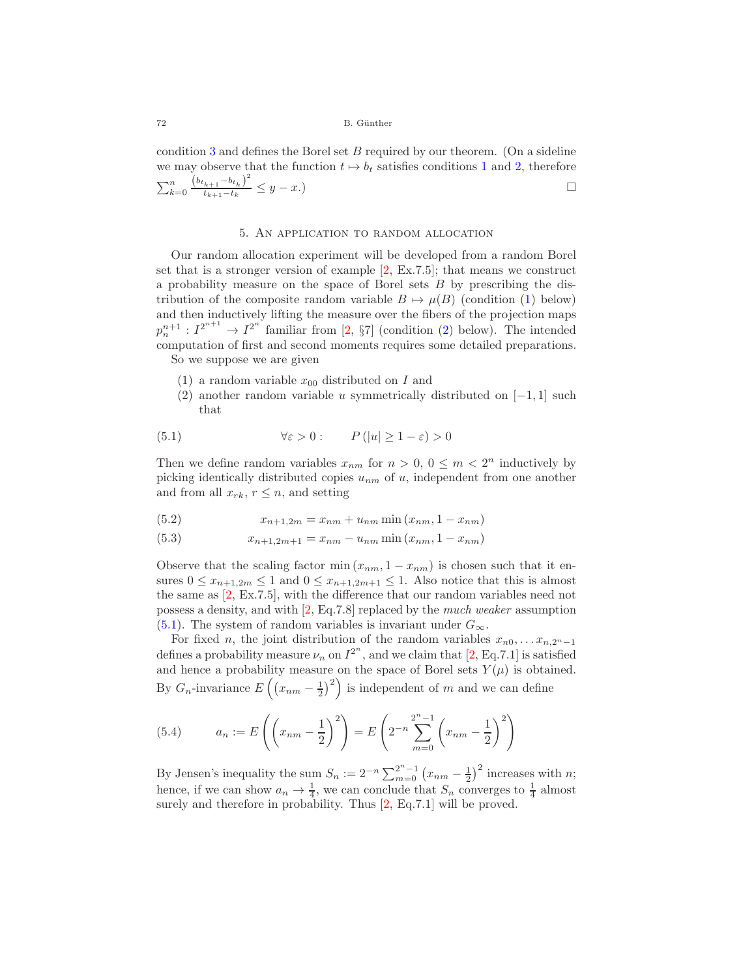condition [3](#page-9-2) and defines the Borel set  $B$  required by our theorem. (On a sideline we may observe that the function  $t \mapsto b_t$  satisfies conditions [1](#page-9-0) and [2,](#page-9-1) therefore  $\sum_{k=0}^{n}$  $\frac{(b_{t_{k+1}} - b_{t_k})^2}{t_{k+1} - t_k} \leq y - x.$ 

# 5. An application to random allocation

<span id="page-11-0"></span>Our random allocation experiment will be developed from a random Borel set that is a stronger version of example [\[2,](#page-18-2) Ex.7.5]; that means we construct a probability measure on the space of Borel sets B by prescribing the distribution of the composite random variable  $B \mapsto \mu(B)$  (condition [\(1\)](#page-11-1) below) and then inductively lifting the measure over the fibers of the projection maps  $p_n^{n+1}: I^{2^{n+1}} \to I^{2^n}$  familiar from [\[2,](#page-18-2) §7] (condition [\(2\)](#page-11-2) below). The intended computation of first and second moments requires some detailed proporations. computation of first and second moments requires some detailed preparations. So we suppose we are given

<span id="page-11-1"></span>

- <span id="page-11-2"></span>(1) a random variable  $x_{00}$  distributed on I and
- <span id="page-11-3"></span>(2) another random variable u symmetrically distributed on  $[-1, 1]$  such that

(5.1) 
$$
\forall \varepsilon > 0: \qquad P(|u| \ge 1 - \varepsilon) > 0
$$

Then we define random variables  $x_{nm}$  for  $n > 0, 0 \leq m < 2^n$  inductively by picking identically distributed copies  $u_{nm}$  of u, independent from one another and from all  $x_{rk}$ ,  $r \leq n$ , and setting

(5.2) 
$$
x_{n+1,2m} = x_{nm} + u_{nm} \min(x_{nm}, 1 - x_{nm})
$$

(5.3) 
$$
x_{n+1,2m+1} = x_{nm} - u_{nm} \min(x_{nm}, 1 - x_{nm})
$$

Observe that the scaling factor min  $(x_{nm}, 1 - x_{nm})$  is chosen such that it ensures  $0 \leq x_{n+1,2m} \leq 1$  and  $0 \leq x_{n+1,2m+1} \leq 1$ . Also notice that this is almost the same as [\[2,](#page-18-2) Ex.7.5], with the difference that our random variables need not possess a density, and with [\[2,](#page-18-2) Eq.7.8] replaced by the *much weaker* assumption [\(5.1\)](#page-11-3). The system of random variables is invariant under  $G_{\infty}$ .

For fixed *n*, the joint distribution of the random variables  $x_{n0},...x_{n,2^{n}-1}$ defines a probability measure  $\nu_n$  on  $I^{2^n}$ , and we claim that [\[2,](#page-18-2) Eq.7.1] is satisfied and hence a probability measure on the space of Borel sets  $Y(\mu)$  is obtained. By  $G_n$ -invariance  $E\left(\left(x_{nm} - \frac{1}{2}\right)^2\right)$  is independent of m and we can define

(5.4) 
$$
a_n := E\left(\left(x_{nm} - \frac{1}{2}\right)^2\right) = E\left(2^{-n}\sum_{m=0}^{2^n - 1} \left(x_{nm} - \frac{1}{2}\right)^2\right)
$$

By Jensen's inequality the sum  $S_n := 2^{-n} \sum_{m=0}^{2^n - 1} (x_{nm} - \frac{1}{2})^2$  increases with *n*; hence, if we can show  $a_n \to \frac{1}{4}$ , we can conclude that  $S_n$  converges to  $\frac{1}{4}$  almost surely and therefore in probability. Thus [\[2,](#page-18-2) Eq.7.1] will be proved.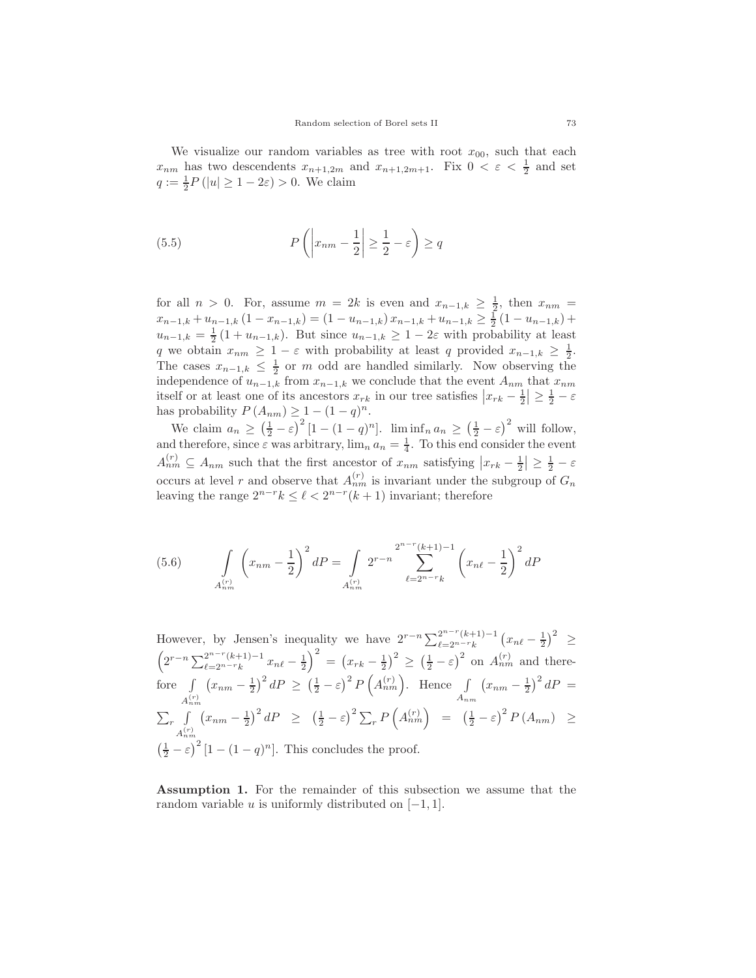We visualize our random variables as tree with root  $x_{00}$ , such that each  $x_{nm}$  has two descendents  $x_{n+1,2m}$  and  $x_{n+1,2m+1}$ . Fix  $0 \leq \varepsilon \leq \frac{1}{2}$  and set  $q := \frac{1}{2}P(|u| \ge 1 - 2\varepsilon) > 0$ . We claim

(5.5) 
$$
P\left(\left|x_{nm} - \frac{1}{2}\right| \ge \frac{1}{2} - \varepsilon\right) \ge q
$$

for all  $n > 0$ . For, assume  $m = 2k$  is even and  $x_{n-1,k} \geq \frac{1}{2}$ , then  $x_{nm} =$  $x_{n-1,k} + u_{n-1,k} (1 - x_{n-1,k}) = (1 - u_{n-1,k}) x_{n-1,k} + u_{n-1,k} \ge \frac{1}{2} (1 - u_{n-1,k}) +$  $u_{n-1,k} = \frac{1}{2} (1 + u_{n-1,k})$ . But since  $u_{n-1,k} \geq 1 - 2\varepsilon$  with probability at least q we obtain  $x_{nm} \geq 1 - \varepsilon$  with probability at least q provided  $x_{n-1,k} \geq \frac{1}{2}$ . The cases  $x_{n-1,k} \leq \frac{1}{2}$  or m odd are handled similarly. Now observing the independence of  $u_{n-1,k}$  from  $x_{n-1,k}$  we conclude that the event  $A_{nm}$  that  $x_{nm}$ itself or at least one of its ancestors  $x_{rk}$  in our tree satisfies  $|x_{rk} - \frac{1}{2}| \geq \frac{1}{2} - \varepsilon$ has probability  $P(A_{nm}) \geq 1 - (1 - q)^n$ .

We claim  $a_n \ge (\frac{1}{2} - \varepsilon)^2 [1 - (1 - q)^n]$ .  $\liminf_n a_n \ge (\frac{1}{2} - \varepsilon)^2$  will follow, and therefore, since  $\varepsilon$  was arbitrary,  $\lim_{n} a_n = \frac{1}{4}$ . To this end consider the event  $A_{nm}^{(r)} \subseteq A_{nm}$  such that the first ancestor of  $x_{nm}$  satisfying  $|x_{rk} - \frac{1}{2}| \geq \frac{1}{2} - \varepsilon$ occurs at level r and observe that  $A_{nm}^{(r)}$  is invariant under the subgroup of  $G_n$ leaving the range  $2^{n-r}k \leq \ell < 2^{n-r}(k+1)$  invariant; therefore

(5.6) 
$$
\int_{A_{nm}^{(r)}} \left(x_{nm} - \frac{1}{2}\right)^2 dP = \int_{A_{nm}^{(r)}} 2^{r-n} \sum_{\ell=2^{n-r}k}^{2^{n-r}(k+1)-1} \left(x_{n\ell} - \frac{1}{2}\right)^2 dP
$$

However, by Jensen's inequality we have  $2^{r-n} \sum_{\ell=2^{n-r}(k+1)-1}^{2^{n-r}(k+1)-1} (x_{n\ell} - \frac{1}{2})^2 \ge$  $\left(2^{r-n}\sum_{\ell=2^{n-r}(k+1)-1}^{2^{n-r}(k+1)-1}x_{n\ell}-\frac{1}{2}\right)^2 = \left(x_{rk}-\frac{1}{2}\right)^2 \ge \left(\frac{1}{2}-\varepsilon\right)^2$  on  $A_{nm}^{(r)}$  and therefore  $\int_{P} (x_{nm} - \frac{1}{2})^2 dP \ge (\frac{1}{2} - \varepsilon)^2 P(A_{nm}^{(r)})$ . Hence  $\int_{A} (x_{nm} - \frac{1}{2})^2 dP =$  $A_{nm}^{(r)}$   $A_{nm}$   $A_{nm}$   $A_{nm}$  $\sum_{r}$  $\sqrt{ }$  $A_{nm}^{(r)}$  $\left(x_{nm} - \frac{1}{2}\right)^2 dP \ge \left(\frac{1}{2} - \varepsilon\right)^2 \sum_r P\left(A_{nm}^{(r)}\right) = \left(\frac{1}{2} - \varepsilon\right)^2 P\left(A_{nm}\right) \ge$  $\left(\frac{1}{2} - \varepsilon\right)^2 [1 - (1 - q)^n]$ . This concludes the proof.

<span id="page-12-0"></span>**Assumption 1.** For the remainder of this subsection we assume that the random variable u is uniformly distributed on  $[-1, 1]$ .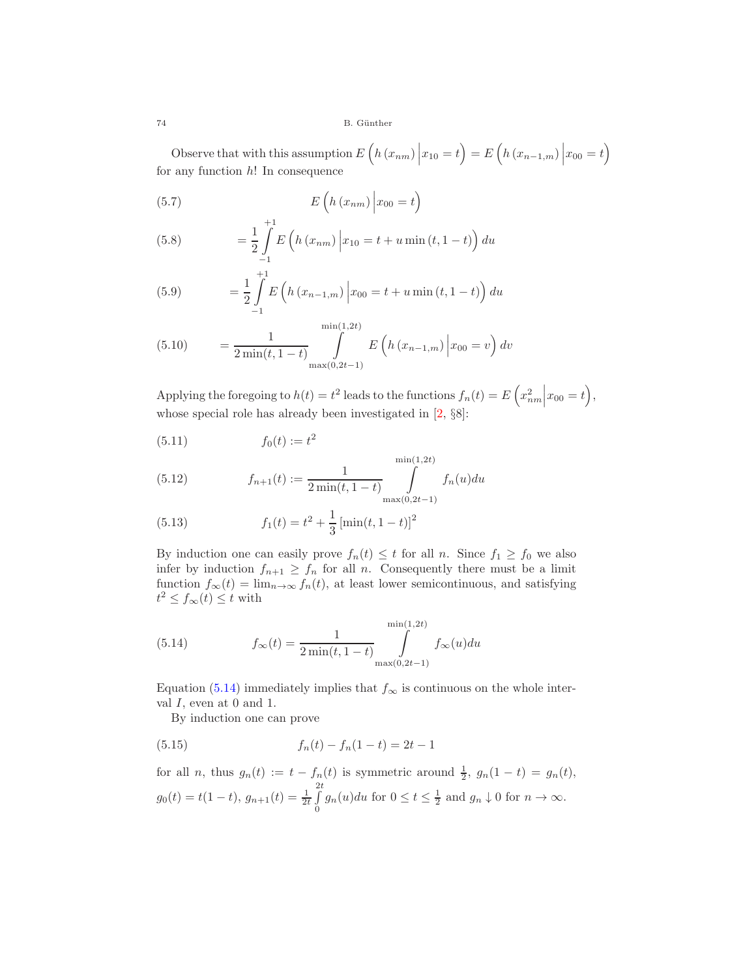74 B. Günther

Observe that with this assumption  $E\left(h(x_{nm})\middle|x_{10}=t\right)=E\left(h(x_{n-1,m})\middle|x_{00}=t\right)$ for any function  $h!$  In consequence

(5.7) 
$$
E\left(h\left(x_{nm}\right)\middle|x_{00}=t\right)
$$

$$
+1
$$

(5.8) 
$$
= \frac{1}{2} \int_{-1}^{1} E\left(h(x_{nm})\middle|x_{10}=t+u\min(t,1-t)\right) du
$$

(5.9) 
$$
= \frac{1}{2} \int_{-1}^{+1} E\left(h\left(x_{n-1,m}\right) \middle| x_{00} = t + u \min\left(t, 1-t\right)\right) du
$$

(5.10) 
$$
= \frac{1}{2 \min(t, 1-t)} \int_{\max(0,2t-1)}^{\min(1,2t)} E\left(h(x_{n-1,m}) \middle| x_{00} = v\right) dv
$$

Applying the foregoing to  $h(t) = t^2$  leads to the functions  $f_n(t) = E\left(x_{nm}^2\right)$  $\Big|x_{00}=t\Big),\,$ whose special role has already been investigated in  $[2, \S8]$  $[2, \S8]$ :

(5.11) 
$$
f_0(t) := t^2
$$

<span id="page-13-1"></span>(5.12) 
$$
f_{n+1}(t) := \frac{1}{2 \min(t, 1-t)} \int_{\max(0, 2t-1)}^{\min(1, 2t)} f_n(u) du
$$

(5.13) 
$$
f_1(t) = t^2 + \frac{1}{3} \left[ \min(t, 1-t) \right]^2
$$

By induction one can easily prove  $f_n(t) \leq t$  for all n. Since  $f_1 \geq f_0$  we also infer by induction  $f_{n+1} \geq f_n$  for all n. Consequently there must be a limit function  $f_{\infty}(t) = \lim_{n \to \infty} f_n(t)$ , at least lower semicontinuous, and satisfying  $t^2 \le f_\infty(t) \le t$  with

<span id="page-13-0"></span>(5.14) 
$$
f_{\infty}(t) = \frac{1}{2 \min(t, 1-t)} \int_{\max(0, 2t-1)}^{\min(1, 2t)} f_{\infty}(u) du
$$

Equation [\(5.14\)](#page-13-0) immediately implies that  $f_{\infty}$  is continuous on the whole interval  $I$ , even at 0 and 1.

By induction one can prove

(5.15) 
$$
f_n(t) - f_n(1-t) = 2t - 1
$$

for all *n*, thus 
$$
g_n(t) := t - f_n(t)
$$
 is symmetric around  $\frac{1}{2}$ ,  $g_n(1-t) = g_n(t)$ ,  
\n $g_0(t) = t(1-t)$ ,  $g_{n+1}(t) = \frac{1}{2t} \int_0^{2t} g_n(u) du$  for  $0 \le t \le \frac{1}{2}$  and  $g_n \downarrow 0$  for  $n \to \infty$ .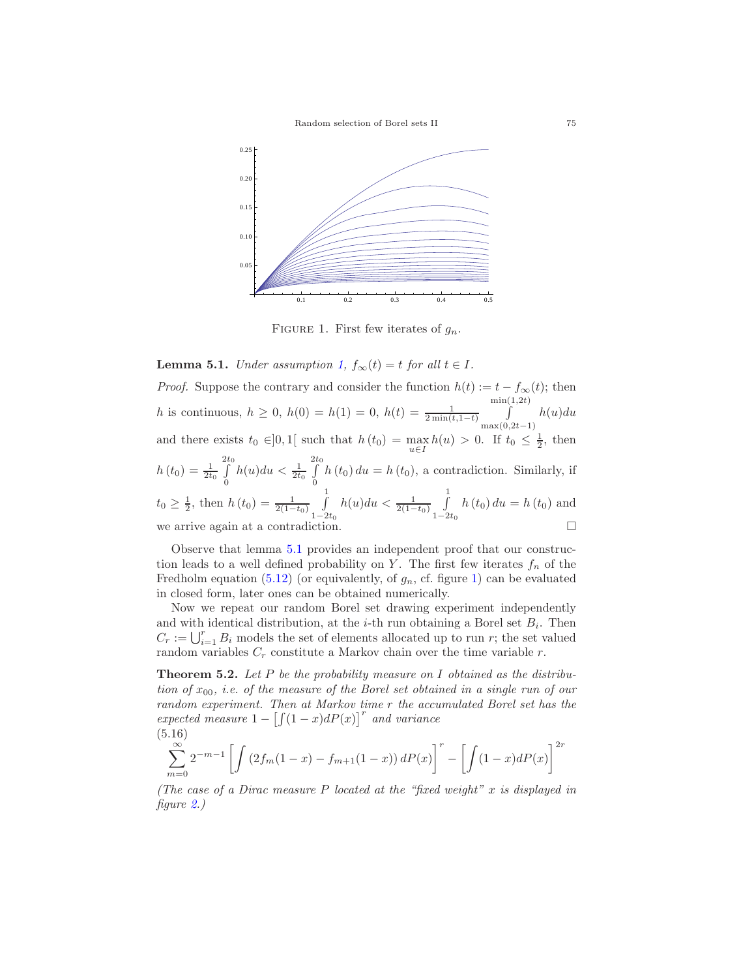

<span id="page-14-1"></span>FIGURE 1. First few iterates of  $g_n$ .

<span id="page-14-0"></span>**Lemma 5.1.** *Under assumption* [1,](#page-12-0)  $f_{\infty}(t) = t$  *for all*  $t \in I$ *.* 

*Proof.* Suppose the contrary and consider the function  $h(t) := t - f_{\infty}(t)$ ; then h is continuous,  $h \ge 0$ ,  $h(0) = h(1) = 0$ ,  $h(t) = \frac{1}{2\min(t, 1-t)}$  $\int_{0}^{\min(1,2t)} h(u)du$ and there exists  $t_0 \in ]0,1[$  such that  $h(t_0) = \max_{x \in [0,1]} h(u) > 0$ . If  $t_0 \leq \frac{1}{2}$ , then  $u \in I$  $h(t_0) = \frac{1}{2t_0}$ 2  $\int\limits_0^{2t_0}$  $\int_{0}^{1} h(u) du < \frac{1}{2t_{0}}$ 2  $\int\limits_0^{2t_0}$  $\int_{0} h(t_0) du = h(t_0)$ , a contradiction. Similarly, if  $t_0 \geq \frac{1}{2}$ , then  $h(t_0) = \frac{1}{2(1-t_0)} \int_{1-2}^{1}$  $\frac{1-2t_0}{2}$  $h(u)du < \frac{1}{2(1-t_0)}\int_{1-2}^{1}$  $1-\overline{2t_0}$  $h(t_0) du = h(t_0)$  and we arrive again at a contradiction.

Observe that lemma [5.1](#page-14-0) provides an independent proof that our construction leads to a well defined probability on Y. The first few iterates  $f_n$  of the Fredholm equation [\(5.12\)](#page-13-1) (or equivalently, of  $g_n$ , cf. figure [1\)](#page-14-1) can be evaluated in closed form, later ones can be obtained numerically.

Now we repeat our random Borel set drawing experiment independently and with identical distribution, at the *i*-th run obtaining a Borel set  $B_i$ . Then  $C_r := \bigcup_{i=1}^r B_i$  models the set of elements allocated up to run r; the set valued random variables C, constitute a Markov chain over the time variable r random variables  $C_r$  constitute a Markov chain over the time variable r.

<span id="page-14-2"></span>**Theorem 5.2.** *Let* <sup>P</sup> *be the probability measure on* <sup>I</sup> *obtained as the distribution of* x00*, i.e. of the measure of the Borel set obtained in a single run of our random experiment. Then at Markov time* r *the accumulated Borel set has the expected measure*  $1 - \left[\int (1-x)dP(x)\right]^r$  *and variance* (5.16)

$$
\sum_{m=0}^{\infty} 2^{-m-1} \left[ \int \left( 2f_m(1-x) - f_{m+1}(1-x) \right) dP(x) \right]^r - \left[ \int (1-x) dP(x) \right]^{2r}
$$

*(The case of a Dirac measure* P *located at the "fixed weight"* x *is displayed in figure [2.](#page-15-0))*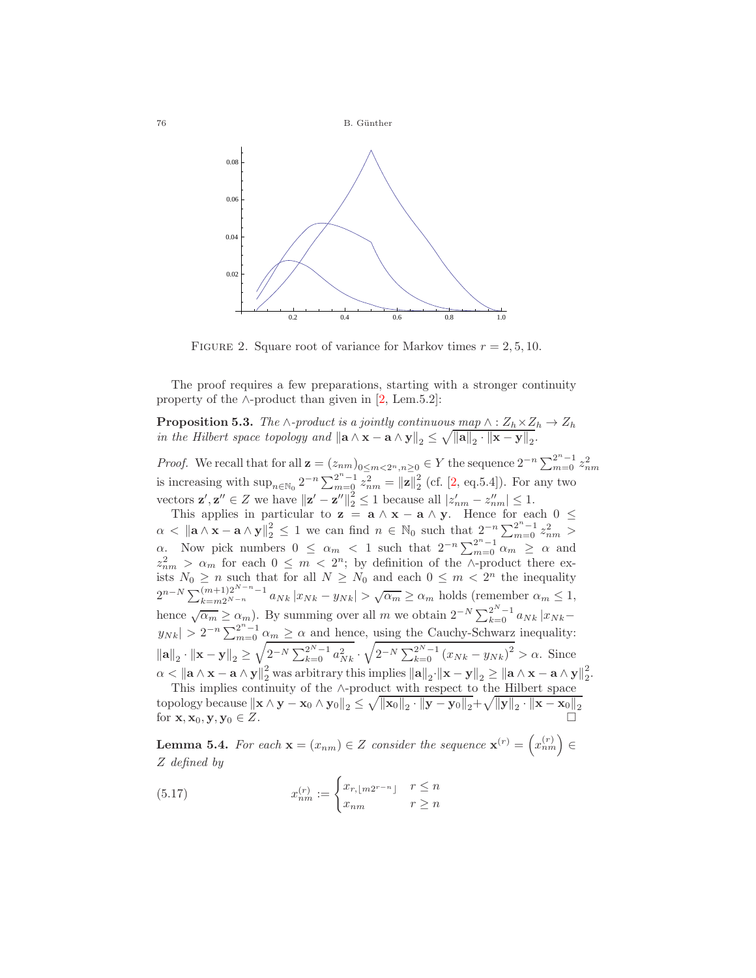

<span id="page-15-0"></span>FIGURE 2. Square root of variance for Markov times  $r = 2, 5, 10$ .

The proof requires a few preparations, starting with a stronger continuity property of the  $\land$ -product than given in [\[2,](#page-18-2) Lem.5.2]:

**Proposition 5.3.** *The* ∧*-product is a jointly continuous map*  $\wedge$  :  $Z_h \times Z_h \rightarrow Z_h$ <br>in the Hilbert space topology and  $\|\mathbf{a} \wedge \mathbf{x} - \mathbf{a} \wedge \mathbf{v}\| \leq \sqrt{\|\mathbf{a}\| \cdot \|\mathbf{x} - \mathbf{v}\|}$ *in the Hilbert space topology and*  $\|\mathbf{a} \wedge \mathbf{x} - \mathbf{a} \wedge \mathbf{y}\|_2 \leq \sqrt{\|\mathbf{a}\|_2 \cdot \|\mathbf{x} - \mathbf{y}\|_2}.$ 

*Proof.* We recall that for all  $\mathbf{z} = (z_{nm})_{0 \leq m < 2^n, n \geq 0}$  ∈ *Y* the sequence  $2^{-n} \sum_{m=0}^{2^n - 1} z_{nm}^2$  is increasing with sup<sub>n∈N0</sub>  $2^{-n} \sum_{m=0}^{2^n - 1} z_{nm}^2 = ||\mathbf{z}||_2^2$  (cf. [\[2,](#page-18-2) eq.5.4]). For any two proton vectors  $\mathbf{z}', \mathbf{z}'' \in Z$  we have  $\|\mathbf{z}' - \mathbf{z}''\|_2^2 \le 1$  because all  $|z'_{nm} - z''_{nm}| \le 1$ .<br>This applies in particular to  $\mathbf{z} = \mathbf{z} \wedge \mathbf{y} = \mathbf{z} \wedge \mathbf{y}$ . Hence for ea

This applies in particular to **z** = **a**  $\wedge$  **x** − **a**  $\wedge$  **y**. Hence for each  $0 \le$   $\le$   $\|\cdot\|$   $\wedge$  **x** =  $\wedge$   $\wedge$  **x**  $\|^2$   $\le$  1 **x**  $\alpha$  con find  $\alpha \in \mathbb{N}$  such that  $2^{-n} \sum^{2^n-1} z^2$  $\alpha < ||$ **a** ∧ **x** − **a** ∧ **y** $||_2^2 \le 1$  we can find  $n \in \mathbb{N}_0$  such that  $2^{-n} \sum_{m=0}^{2^n - 1} z_{nm}^2 >$  $α.$  Now pick numbers  $0 \leq \alpha_m < 1$  such that  $2^{-n} \sum_{m=0}^{2^n-1} \alpha_m \geq \alpha$  and  $z_{nm}^2 > \alpha_m$  for each  $0 \leq m < 2^n$ ; by definition of the ∧-product there exists  $N_0 \geq n$  such that for all  $N \geq N_0$  and each  $0 \leq m < 2^n$  the  $2^{n-N} \sum_{k=m2^{N-n}}^{\infty} \frac{1}{\left(\sum_{k=m2^{N-n}}^{\infty} 1} a_{Nk} |x_{Nk} - y_{Nk}| > \sqrt{\alpha_m} \ge \alpha_m \text{ holds (remember } \alpha_m \le 1,$ hence  $\sqrt{\alpha_m} \ge \alpha_m$ ). By summing over all m we obtain  $2^{-N} \sum_{k=0}^{2^N-1} a_{Nk} |x_{Nk} |y_{Nk}| > 2^{-n} \sum_{m=0}^{2^n-1} \alpha_m \ge \alpha$  and hence, using the Cauchy-Schwarz inequality:  $\|\mathbf{a}\|_2 \cdot \|\mathbf{x} - \mathbf{y}\|_2 \ge \sqrt{2^{-N} \sum_{k=0}^{2^N-1} a_{Nk}^2} \cdot \sqrt{2^{-N} \sum_{k=0}^{2^N-1} (x_{Nk} - y_{Nk})^2} > \alpha.$  Since  $\alpha < ||$ **a**  $\wedge$  **x** − **a**  $\wedge$  **y** $||_2^2$  was arbitrary this implies  $||$ **a** $||_2 \cdot ||$ **x** − **y** $||_2 \ge ||$ **a**  $\wedge$ **x** − **a** $\wedge$ **y** $||_2^2$ .<br>This implies continuity of the  $\wedge$ -product with respect to the Hilbert space

This implies continuity of the ∧-product with respect to the Hilbert space  $\text{topology because } ||\mathbf{x} \wedge \mathbf{y} - \mathbf{x}_0 \wedge \mathbf{y}_0||_2 \leq \sqrt{||\mathbf{x}_0||_2 \cdot ||\mathbf{y} - \mathbf{y}_0||_2} + \sqrt{||\mathbf{y}||_2 \cdot ||\mathbf{x} - \mathbf{x}_0||_2}$ for  $\mathbf{x}, \mathbf{x}_0, \mathbf{y}, \mathbf{y}_0 \in Z$ .

**Lemma 5.4.** *For each*  $\mathbf{x} = (x_{nm}) \in Z$  *consider the sequence*  $\mathbf{x}^{(r)} = (x_{nm}^{(r)}) \in Z$ Z *defined by*

(5.17) 
$$
x_{nm}^{(r)} := \begin{cases} x_{r,\lfloor m2^{r-n} \rfloor} & r \leq n \\ x_{nm} & r \geq n \end{cases}
$$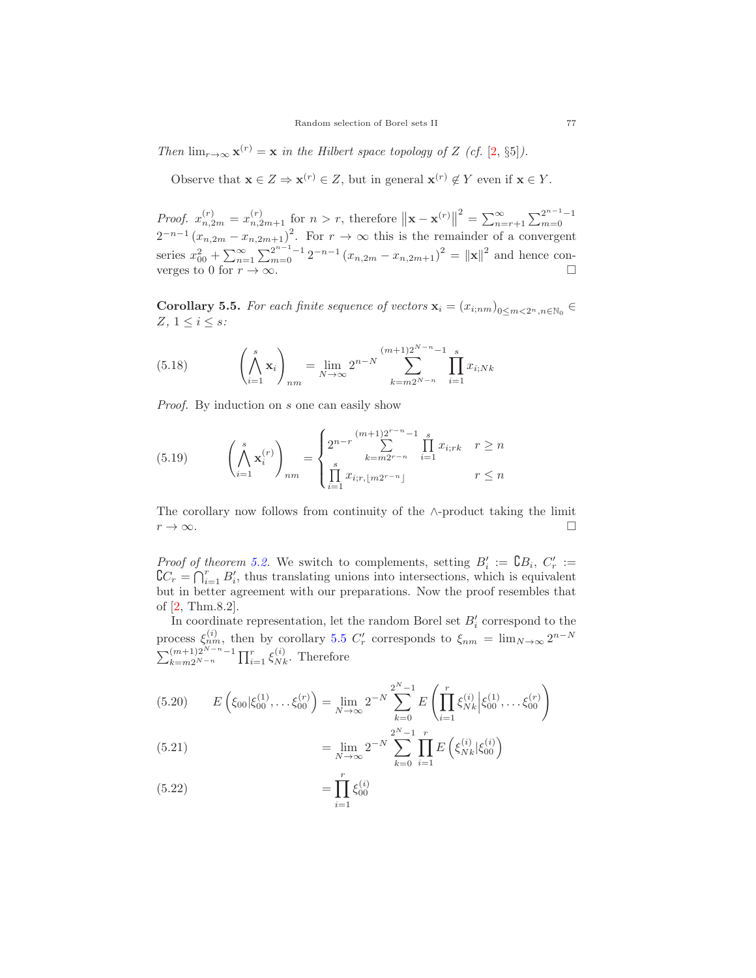*Then*  $\lim_{r\to\infty} \mathbf{x}^{(r)} = \mathbf{x}$  *in the Hilbert space topology of* Z *(cf.* [\[2,](#page-18-2) §5]*)*.

Observe that  $\mathbf{x} \in Z \Rightarrow \mathbf{x}^{(r)} \in Z$ , but in general  $\mathbf{x}^{(r)} \notin Y$  even if  $\mathbf{x} \in Y$ .

*Proof.*  $x_{n,2m}^{(r)} = x_{n,2m+1}^{(r)}$  for  $n > r$ , therefore  $\|\mathbf{x} - \mathbf{x}^{(r)}\|^2 = \sum_{n=r+1}^{\infty} \sum_{m=0}^{2^{n-1}-1} (x_{n,2m} - x_{n,2m+1})^2$ . For  $r \to \infty$  this is the remainder of a convergent series  $x_{00}^2 + \sum_{n=1}^{\infty} \sum_{m=0}^{2^{n-1}-1} 2^{-n-1} (x_{n,2m} - x_{n,2m+1})^2 = ||\mathbf{x}||^2$  and hence con-<br>verges to 0 for  $r \to \infty$ .

<span id="page-16-0"></span>**Corollary 5.5.** *For each finite sequence of vectors*  $\mathbf{x}_i = (x_{i;nm})_{0 \le m \le 2^n, n \in \mathbb{N}_0}$  $Z, 1 \leq i \leq s$ :

(5.18) 
$$
\left(\bigwedge_{i=1}^{s} \mathbf{x}_{i}\right)_{nm} = \lim_{N \to \infty} 2^{n-N} \sum_{k=m2^{N-n}}^{(m+1)2^{N-n}-1} \prod_{i=1}^{s} x_{i;Nk}
$$

*Proof.* By induction on s one can easily show

(5.19) 
$$
\left(\bigwedge_{i=1}^{s} \mathbf{x}_{i}^{(r)}\right)_{nm} = \begin{cases} 2^{n-r} \sum_{k=m2^{r-n}}^{(m+1)2^{r-n}-1} \prod_{i=1}^{s} x_{i;rk} & r \geq n \\ \prod_{i=1}^{s} x_{i;r, \lfloor m2^{r-n} \rfloor} & r \leq n \end{cases}
$$

The corollary now follows from continuity of the  $\wedge$ -product taking the limit  $r \to \infty$ .

*Proof of theorem [5.2.](#page-14-2)* We switch to complements, setting  $B'_i := \mathbb{C}B_i$ ,  $C'_r := \mathbb{C}C - \mathbb{C}^r$ ,  $B'_r$  thus translating uping into intersections, which is equivalent  $\mathcal{C}_r = \bigcap_{i=1}^r B'_i$ , thus translating unions into intersections, which is equivalent<br>but in better agreement with our preparations. Now the proof resembles that but in better agreement with our preparations. Now the proof resembles that of [\[2,](#page-18-2) Thm.8.2].

In coordinate representation, let the random Borel set  $B_i'$  correspond to the process  $\xi_{nm}^{(i)}$ , then by corollary [5.5](#page-16-0)  $C'_r$  corresponds to  $\xi_{nm} = \lim_{N \to \infty} 2^{n-N}$ <br> $\sum_{k=m}^{(m+1)2^{N-n}-1} \prod_{i=1}^r \xi_{Nk}^{(i)}$ . Therefore  $\lim_{k=m2^{N-n}} \prod_{i=1}^{r} \xi_{Nk}^{(i)}$ . Therefore

$$
(5.20) \t E\left(\xi_{00}|\xi_{00}^{(1)},\dots\xi_{00}^{(r)}\right) = \lim_{N \to \infty} 2^{-N} \sum_{k=0}^{2^N - 1} E\left(\prod_{i=1}^r \xi_{Nk}^{(i)}\Big|\xi_{00}^{(1)},\dots\xi_{00}^{(r)}\right)
$$

(5.21) 
$$
= \lim_{N \to \infty} 2^{-N} \sum_{k=0}^{2^{N}-1} \prod_{i=1}^{r} E\left(\xi_{Nk}^{(i)} | \xi_{00}^{(i)}\right)
$$

(5.22) 
$$
= \prod_{i=1}^{n} \xi_{00}^{(i)}
$$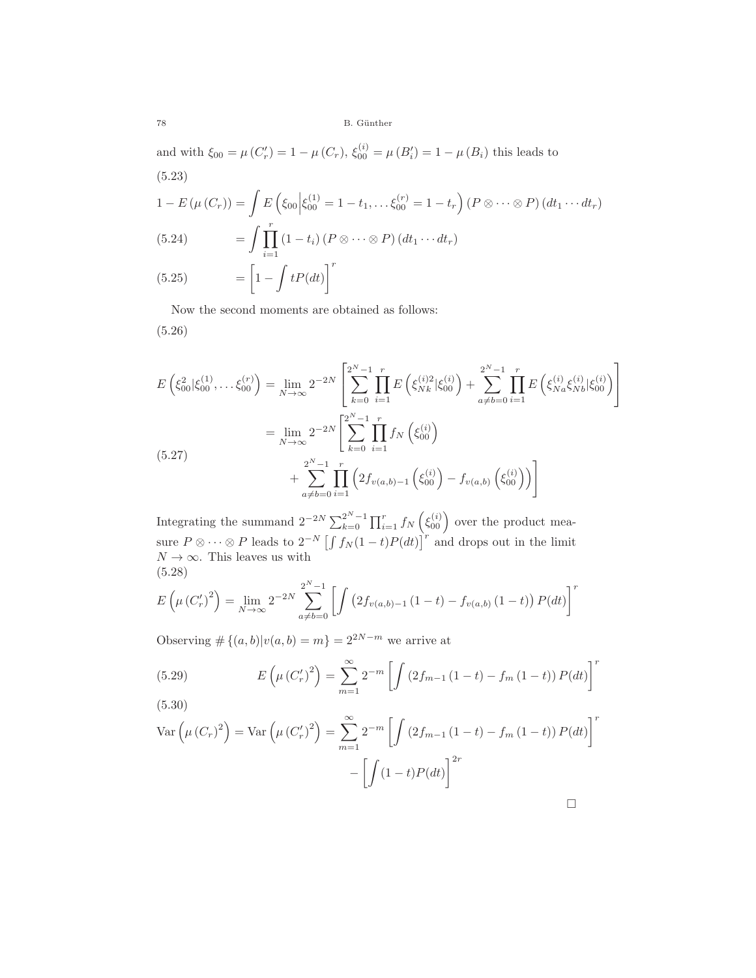78 B. G¨unther

and with  $\xi_{00} = \mu(C'_r) = 1 - \mu(C_r)$ ,  $\xi_{00}^{(i)} = \mu(B'_i) = 1 - \mu(B_i)$  this leads to (5.23)

$$
1 - E(\mu(C_r)) = \int E\left(\xi_{00} \middle| \xi_{00}^{(1)} = 1 - t_1, \dots, \xi_{00}^{(r)} = 1 - t_r\right) (P \otimes \dots \otimes P) (dt_1 \dots dt_r)
$$
\n
$$
(5.24) \qquad \qquad = \int \prod_{i=1}^r \left(1 - t_i\right) (P \otimes \dots \otimes P) (dt_1 \dots dt_r)
$$
\n
$$
(5.25) \qquad \qquad \left[\frac{1}{1 - \left(\frac{1}{1 + t_1}\right) \left(\frac{1}{1 + t_2}\right)}\right]^r
$$

$$
(5.25) = \left[1 - \int tP(dt)\right]
$$

Now the second moments are obtained as follows: (5.26)

$$
E\left(\xi_{00}^{2}|\xi_{00}^{(1)},\ldots\xi_{00}^{(r)}\right) = \lim_{N \to \infty} 2^{-2N} \left[ \sum_{k=0}^{2^{N}-1} \prod_{i=1}^{r} E\left(\xi_{Nk}^{(i)2}|\xi_{00}^{(i)}\right) + \sum_{a \neq b=0}^{2^{N}-1} \prod_{i=1}^{r} E\left(\xi_{Na}^{(i)}\xi_{Nb}^{(i)}|\xi_{00}^{(i)}\right) \right]
$$
  
\n
$$
= \lim_{N \to \infty} 2^{-2N} \left[ \sum_{k=0}^{2^{N}-1} \prod_{i=1}^{r} f_{N}\left(\xi_{00}^{(i)}\right) + \sum_{a \neq b=0}^{2^{N}-1} \prod_{i=1}^{r} \left(2f_{v(a,b)-1}\left(\xi_{00}^{(i)}\right) - f_{v(a,b)}\left(\xi_{00}^{(i)}\right)\right) \right]
$$
  
\n(5.27)

Integrating the summand  $2^{-2N} \sum_{k=0}^{2^N-1} \prod_{i=1}^r f_N\left(\xi_{00}^{(i)}\right)$  over the product measure  $P \otimes \cdots \otimes P$  leads to  $2^{-N} \left[ \int f_N(1-t)P(dt) \right]^T$  and drops out in the limit  $N \to \infty$ . This leaves us with  $N \to \infty$ . This leaves us with (5.28)

$$
E\left(\mu\left(C_{r}'\right)^{2}\right) = \lim_{N \to \infty} 2^{-2N} \sum_{a \neq b=0}^{2^{N}-1} \left[ \int \left(2f_{v(a,b)-1}\left(1-t\right) - f_{v(a,b)}\left(1-t\right)\right) P(dt) \right]^{r}
$$

Observing  $\#\{(a, b)|v(a, b) = m\} = 2^{2N-m}$  we arrive at

(5.29) 
$$
E\left(\mu(C'_r)^2\right) = \sum_{m=1}^{\infty} 2^{-m} \left[ \int \left(2f_{m-1}\left(1-t\right) - f_m\left(1-t\right)\right) P(dt) \right]^r
$$
\n(5.30)

$$
\text{Var}\left(\mu(C_r)^2\right) = \text{Var}\left(\mu(C'_r)^2\right) = \sum_{m=1}^{\infty} 2^{-m} \left[ \int \left(2f_{m-1}\left(1-t\right) - f_m\left(1-t\right)\right) P(dt) \right]^r - \left[ \int \left(1-t\right) P(dt) \right]^{2r}
$$